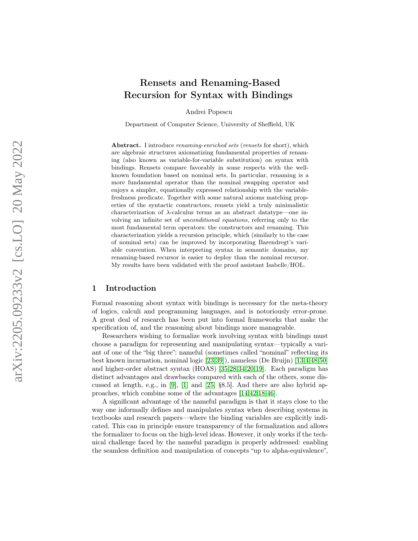# Rensets and Renaming-Based Recursion for Syntax with Bindings

Andrei Popescu

Department of Computer Science, University of Sheffield, UK

Abstract. I introduce *renaming-enriched sets* (*rensets* for short), which are algebraic structures axiomatizing fundamental properties of renaming (also known as variable-for-variable substitution) on syntax with bindings. Rensets compare favorably in some respects with the wellknown foundation based on nominal sets. In particular, renaming is a more fundamental operator than the nominal swapping operator and enjoys a simpler, equationally expressed relationship with the variablefreshness predicate. Together with some natural axioms matching properties of the syntactic constructors, rensets yield a truly minimalistic characterization of λ-calculus terms as an abstract datatype—one involving an infinite set of unconditional equations, referring only to the most fundamental term operators: the constructors and renaming. This characterization yields a recursion principle, which (similarly to the case of nominal sets) can be improved by incorporating Barendregt's variable convention. When interpreting syntax in semantic domains, my renaming-based recursor is easier to deploy than the nominal recursor. My results have been validated with the proof assistant Isabelle/HOL.

### 1 Introduction

Formal reasoning about syntax with bindings is necessary for the meta-theory of logics, calculi and programming languages, and is notoriously error-prone. A great deal of research has been put into formal frameworks that make the specification of, and the reasoning about bindings more manageable.

Researchers wishing to formalize work involving syntax with bindings must choose a paradigm for representing and manipulating syntax—typically a variant of one of the "big three": nameful (sometimes called "nominal" reflecting its best known incarnation, nominal logic [\[23,](#page-18-0)[39\]](#page-19-0)), nameless (De Bruijn) [\[13,](#page-17-0)[4,](#page-17-1)[48,](#page-20-0)[50\]](#page-20-1) and higher-order abstract syntax (HOAS) [\[35,](#page-19-1)[28,](#page-18-1)[34,](#page-19-2)[20,](#page-18-2)[19\]](#page-18-3). Each paradigm has distinct advantages and drawbacks compared with each of the others, some discussed at length, e.g., in [\[9\]](#page-17-2), [\[1\]](#page-16-0) and [\[25,](#page-18-4) §8.5]. And there are also hybrid approaches, which combine some of the advantages [\[14,](#page-17-3)[42,](#page-19-3)[18,](#page-18-5)[46\]](#page-20-2).

A significant advantage of the nameful paradigm is that it stays close to the way one informally defines and manipulates syntax when describing systems in textbooks and research papers—where the binding variables are explicitly indicated. This can in principle ensure transparency of the formalization and allows the formalizer to focus on the high-level ideas. However, it only works if the technical challenge faced by the nameful paradigm is properly addressed: enabling the seamless definition and manipulation of concepts "up to alpha-equivalence",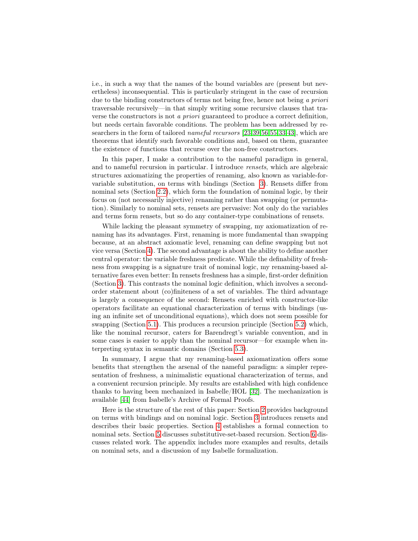i.e., in such a way that the names of the bound variables are (present but nevertheless) inconsequential. This is particularly stringent in the case of recursion due to the binding constructors of terms not being free, hence not being a priori traversable recursively—in that simply writing some recursive clauses that traverse the constructors is not a priori guaranteed to produce a correct definition, but needs certain favorable conditions. The problem has been addressed by researchers in the form of tailored nameful recursors [\[23](#page-18-0)[,39,](#page-19-0)[56,](#page-20-3)[55,](#page-20-4)[33](#page-19-4)[,43\]](#page-19-5), which are theorems that identify such favorable conditions and, based on them, guarantee the existence of functions that recurse over the non-free constructors.

In this paper, I make a contribution to the nameful paradigm in general, and to nameful recursion in particular. I introduce rensets, which are algebraic structures axiomatizing the properties of renaming, also known as variable-forvariable substitution, on terms with bindings (Section [3\)](#page-4-0). Rensets differ from nominal sets (Section [2.2\)](#page-3-0), which form the foundation of nominal logic, by their focus on (not necessarily injective) renaming rather than swapping (or permutation). Similarly to nominal sets, rensets are pervasive: Not only do the variables and terms form rensets, but so do any container-type combinations of rensets.

While lacking the pleasant symmetry of swapping, my axiomatization of renaming has its advantages. First, renaming is more fundamental than swapping because, at an abstract axiomatic level, renaming can define swapping but not vice versa (Section [4\)](#page-6-0). The second advantage is about the ability to define another central operator: the variable freshness predicate. While the definability of freshness from swapping is a signature trait of nominal logic, my renaming-based alternative fares even better: In rensets freshness has a simple, first-order definition (Section [3\)](#page-4-0). This contrasts the nominal logic definition, which involves a secondorder statement about (co)finiteness of a set of variables. The third advantage is largely a consequence of the second: Rensets enriched with constructor-like operators facilitate an equational characterization of terms with bindings (using an infinite set of unconditional equations), which does not seem possible for swapping (Section [5.1\)](#page-7-0). This produces a recursion principle (Section [5.2\)](#page-10-0) which, like the nominal recursor, caters for Barendregt's variable convention, and in some cases is easier to apply than the nominal recursor—for example when interpreting syntax in semantic domains (Section [5.3\)](#page-10-1).

In summary, I argue that my renaming-based axiomatization offers some benefits that strengthen the arsenal of the nameful paradigm: a simpler representation of freshness, a minimalistic equational characterization of terms, and a convenient recursion principle. My results are established with high confidence thanks to having been mechanized in Isabelle/HOL [\[32\]](#page-19-6). The mechanization is available [\[44\]](#page-19-7) from Isabelle's Archive of Formal Proofs.

Here is the structure of the rest of this paper: Section [2](#page-2-0) provides background on terms with bindings and on nominal logic. Section [3](#page-4-0) introduces rensets and describes their basic properties. Section [4](#page-6-0) establishes a formal connection to nominal sets. Section [5](#page-7-1) discusses substitutive-set-based recursion. Section [6](#page-12-0) discusses related work. The appendix includes more examples and results, details on nominal sets, and a discussion of my Isabelle formalization.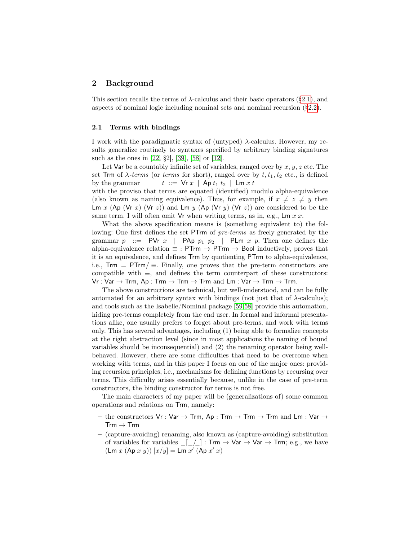## <span id="page-2-0"></span>2 Background

This section recalls the terms of  $\lambda$ -calculus and their basic operators ([§2.1\)](#page-2-1), and aspects of nominal logic including nominal sets and nominal recursion ([§2.2\)](#page-3-0).

#### <span id="page-2-1"></span>2.1 Terms with bindings

I work with the paradigmatic syntax of (untyped)  $\lambda$ -calculus. However, my results generalize routinely to syntaxes specified by arbitrary binding signatures such as the ones in [\[22,](#page-18-6) §2], [\[39\]](#page-19-0), [\[58\]](#page-20-5) or [\[12\]](#page-17-4).

Let Var be a countably infinite set of variables, ranged over by  $x, y, z$  etc. The set Trm of  $\lambda$ -terms (or terms for short), ranged over by  $t, t_1, t_2$  etc., is defined by the grammar  $t ::= \forall r \ x \mid \text{Ap } t_1 t_2 \mid \text{Lm } x t$ with the proviso that terms are equated (identified) modulo alpha-equivalence (also known as naming equivalence). Thus, for example, if  $x \neq z \neq y$  then Lm x (Ap (Vr x) (Vr z)) and Lm y (Ap (Vr y) (Vr z)) are considered to be the same term. I will often omit Vr when writing terms, as in, e.g.,  $\mathsf{Lm} x x$ .

What the above specification means is (something equivalent to) the following: One first defines the set PTrm of pre-terms as freely generated by the grammar  $p$  ::= PVr  $x$  | PAp  $p_1$   $p_2$  | PLm  $x$   $p$ . Then one defines the alpha-equivalence relation  $\equiv$  : PTrm  $\rightarrow$  PTrm  $\rightarrow$  Bool inductively, proves that it is an equivalence, and defines Trm by quotienting PTrm to alpha-equivalence, i.e.,  $\text{Trm} = \text{PTrm}/\equiv$ . Finally, one proves that the pre-term constructors are compatible with  $\equiv$ , and defines the term counterpart of these constructors:  $Vr: Var \rightarrow Trm$ ,  $Ap: Trm \rightarrow Trm \rightarrow Trm$  and  $Lm: Var \rightarrow Trm \rightarrow Trm$ .

The above constructions are technical, but well-understood, and can be fully automated for an arbitrary syntax with bindings (not just that of  $\lambda$ -calculus); and tools such as the Isabelle/Nominal package [\[59,](#page-20-6)[58\]](#page-20-5) provide this automation, hiding pre-terms completely from the end user. In formal and informal presentations alike, one usually prefers to forget about pre-terms, and work with terms only. This has several advantages, including (1) being able to formalize concepts at the right abstraction level (since in most applications the naming of bound variables should be inconsequential) and (2) the renaming operator being wellbehaved. However, there are some difficulties that need to be overcome when working with terms, and in this paper I focus on one of the major ones: providing recursion principles, i.e., mechanisms for defining functions by recursing over terms. This difficulty arises essentially because, unlike in the case of pre-term constructors, the binding constructor for terms is not free.

The main characters of my paper will be (generalizations of) some common operations and relations on Trm, namely:

- the constructors  $\forall r : \forall ar \rightarrow \mathsf{Trm}, \mathsf{Ap} : \mathsf{Trm} \rightarrow \mathsf{Trm} \rightarrow \mathsf{Trm}$  and  $\mathsf{Lm} : \mathsf{Var} \rightarrow$  $Trm \rightarrow Trm$
- (capture-avoiding) renaming, also known as (capture-avoiding) substitution of variables for variables  $\lfloor \lfloor \frac{1}{2} \rfloor \rfloor$  : Trm  $\rightarrow$  Var  $\rightarrow$  Var  $\rightarrow$  Trm; e.g., we have  $(\text{Lm } x (\text{Ap } x y)) [x/y] = \text{Lm } x' (\text{Ap } x' x)$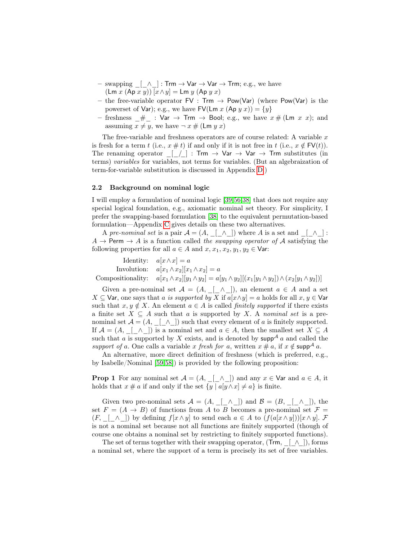- swapping  $\left[\begin{array}{c} \wedge \end{array}\right]$ : Trm  $\rightarrow$  Var  $\rightarrow$  Var  $\rightarrow$  Trm; e.g., we have  $(\textsf{Lm} \ x \ (\textsf{Ap} \ x \ y)) [x \land y] = \textsf{Lm} \ y \ (\textsf{Ap} \ y \ x)$
- the free-variable operator  $FV : Trm \rightarrow Pow(Var)$  (where Pow(Var) is the powerset of Var); e.g., we have  $FV(\text{Lm } x \text{ (Ap } y x)) = \{y\}$
- freshness  $#$  : Var  $\rightarrow$  Trm  $\rightarrow$  Bool; e.g., we have  $x \#$  (Lm  $x$  x); and assuming  $x \neq y$ , we have  $\neg x \neq (\text{Lm } y x)$

The free-variable and freshness operators are of course related: A variable  $x$ is fresh for a term t (i.e.,  $x \neq t$ ) if and only if it is not free in t (i.e.,  $x \notin FV(t)$ ). The renaming operator  $\lfloor \frac{m}{m} \rfloor$  : Trm  $\rightarrow$  Var  $\rightarrow$  Var  $\rightarrow$  Trm substitutes (in terms) variables for variables, not terms for variables. (But an algebraization of term-for-variable substitution is discussed in Appendix [D.](#page-24-0))

#### <span id="page-3-0"></span>2.2 Background on nominal logic

I will employ a formulation of nominal logic [\[39,](#page-19-0)[56,](#page-20-3)[38\]](#page-19-8) that does not require any special logical foundation, e.g., axiomatic nominal set theory. For simplicity, I prefer the swapping-based formulation [\[38\]](#page-19-8) to the equivalent permutation-based formulation—Appendix [C](#page-23-0) gives details on these two alternatives.

A pre-nominal set is a pair  $\mathcal{A} = (A, \underline{\hspace{1cm}} [\begin{array}{c} \wedge \end{array}])$  where A is a set and  $\underline{\hspace{1cm}} [\begin{array}{c} \wedge \end{array}]:$  $A \rightarrow$  Perm  $\rightarrow$  A is a function called the swapping operator of A satisfying the following properties for all  $a \in A$  and  $x, x_1, x_2, y_1, y_2 \in \mathsf{Var}$ :

Identity:  $a[x \wedge x] = a$ Involution:  $a[x_1 \wedge x_2][x_1 \wedge x_2] = a$ Compositionality:  $a[x_1 \wedge x_2][y_1 \wedge y_2] = a[y_1 \wedge y_2][(x_1[y_1 \wedge y_2]) \wedge (x_2[y_1 \wedge y_2])]$ 

Given a pre-nominal set  $A = (A, [- \wedge ])$ , an element  $a \in A$  and a set  $X \subseteq \mathsf{Var}$ , one says that a is supported by X if  $a[x \wedge y] = a$  holds for all  $x, y \in \mathsf{Var}$ such that  $x, y \notin X$ . An element  $a \in A$  is called *finitely supported* if there exists a finite set  $X \subseteq A$  such that a is supported by X. A nominal set is a prenominal set  $\mathcal{A} = (A, \underline{\hspace{1cm}} [\underline{\hspace{1cm}} \underline{\wedge}] )$  such that every element of a is finitely supported. If  $\mathcal{A} = (A, [\Lambda] )$  is a nominal set and  $a \in A$ , then the smallest set  $X \subseteq A$ such that a is supported by X exists, and is denoted by  $\text{supp}^A a$  and called the support of a. One calls a variable x fresh for a, written  $x \neq a$ , if  $x \notin \text{supp}^A a$ .

An alternative, more direct definition of freshness (which is preferred, e.g., by Isabelle/Nominal [\[59,](#page-20-6)[58\]](#page-20-5)) is provided by the following proposition:

**Prop 1** For any nominal set  $\mathcal{A} = (A, \underline{\hspace{1cm}} [\underline{\hspace{1cm}} \wedge \underline{\hspace{1cm}}])$  and any  $x \in \text{Var}$  and  $a \in A$ , it holds that  $x \neq a$  if and only if the set  $\{y \mid a[y \wedge x] \neq a\}$  is finite.

Given two pre-nominal sets  $\mathcal{A} = (A, \underline{\hspace{1cm}} [\underline{\hspace{1cm}} \wedge \underline{\hspace{1cm}}])$  and  $\mathcal{B} = (B, \underline{\hspace{1cm}} [\underline{\hspace{1cm}} \wedge \underline{\hspace{1cm}}])$ , the set  $F = (A \rightarrow B)$  of functions from A to B becomes a pre-nominal set  $\mathcal{F} =$  $(F, \_\_\_\wedge)$  by defining  $f[x \wedge y]$  to send each  $a \in A$  to  $(f(a[x \wedge y]))[x \wedge y]$ . F is not a nominal set because not all functions are finitely supported (though of course one obtains a nominal set by restricting to finitely supported functions).

The set of terms together with their swapping operator,  $(Trm, \_\_\_\\Lambda)$ , forms a nominal set, where the support of a term is precisely its set of free variables.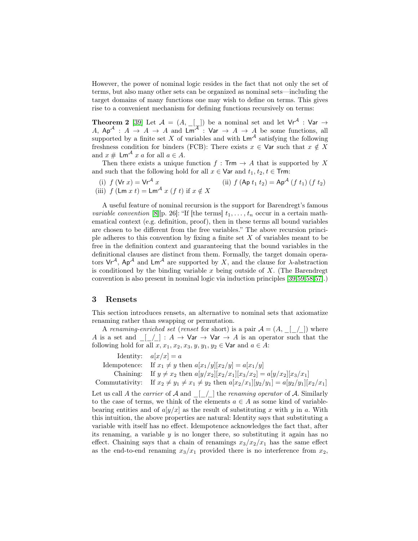However, the power of nominal logic resides in the fact that not only the set of terms, but also many other sets can be organized as nominal sets—including the target domains of many functions one may wish to define on terms. This gives rise to a convenient mechanism for defining functions recursively on terms:

<span id="page-4-1"></span>**Theorem 2** [\[39\]](#page-19-0) Let  $\mathcal{A} = (A, \quad \lceil \quad \rceil)$  be a nominal set and let  $\mathsf{Vr}^{\mathcal{A}}$  : Var  $\rightarrow$ A,  $Ap^{\mathcal{A}} : A \rightarrow A \rightarrow A$  and  $\overline{Lm^{\mathcal{A}}}$ : Var  $\rightarrow A \rightarrow A$  be some functions, all supported by a finite set X of variables and with  $\mathsf{Lm}^{\mathcal{A}}$  satisfying the following freshness condition for binders (FCB): There exists  $x \in \mathsf{Var}$  such that  $x \notin X$ and  $x \# \operatorname{Lm}^A x$  a for all  $a \in A$ .

Then there exists a unique function  $f : \mathsf{Trm} \to A$  that is supported by X and such that the following hold for all  $x \in \mathsf{Var}$  and  $t_1, t_2, t \in \mathsf{Trm}$ :

(i) 
$$
f(\text{Vr } x) = \text{Vr}^A x
$$
  
\n(iii)  $f(\text{Lm } x t) = \text{Lm}^A x (f t)$  if  $x \notin X$   
\n(ii)  $f(\text{Ap } t_1 t_2) = \text{Ap}^A (f t_1) (f t_2)$ 

A useful feature of nominal recursion is the support for Barendregt's famous *variable convention* [\[8\]](#page-17-5)[p. 26]: "If [the terms]  $t_1, \ldots, t_n$  occur in a certain mathematical context (e.g. definition, proof), then in these terms all bound variables are chosen to be different from the free variables." The above recursion principle adheres to this convention by fixing a finite set  $X$  of variables meant to be free in the definition context and guaranteeing that the bound variables in the definitional clauses are distinct from them. Formally, the target domain operators  $\mathsf{Vr}^{\mathcal{A}}$ ,  $\mathsf{Ap}^{\mathcal{A}}$  and  $\mathsf{Lm}^{\mathcal{A}}$  are supported by X, and the clause for  $\lambda$ -abstraction is conditioned by the binding variable  $x$  being outside of  $X$ . (The Barendregt convention is also present in nominal logic via induction principles [\[39,](#page-19-0)[59,](#page-20-6)[58,](#page-20-5)[57\]](#page-20-7).)

## <span id="page-4-0"></span>3 Rensets

This section introduces rensets, an alternative to nominal sets that axiomatize renaming rather than swapping or permutation.

A renaming-enriched set (renset for short) is a pair  $\mathcal{A} = (A, \underline{\hspace{0.2cm}}[\underline{\hspace{0.2cm}}] \underline{\hspace{0.2cm}}]$ ) where A is a set and  $\left[\begin{array}{c} | \end{array}\right] : A \rightarrow \text{Var} \rightarrow \text{Var} \rightarrow A$  is an operator such that the following hold for all  $x, x_1, x_2, x_3, y, y_1, y_2 \in \mathsf{Var}$  and  $a \in A$ :

| Identity: $a x/x  = a$                                                                              |
|-----------------------------------------------------------------------------------------------------|
| Idempotence: If $x_1 \neq y$ then $a[x_1/y][x_2/y] = a[x_1/y]$                                      |
| Chaining: If $y \neq x_2$ then $a[y/x_2][x_2/x_1][x_3/x_2] = a[y/x_2][x_3/x_1]$                     |
| Commutativity: If $x_2 \neq y_1 \neq x_1 \neq y_2$ then $a[x_2/x_1][y_2/y_1] = a[y_2/y_1][x_2/x_1]$ |

Let us call A the carrier of A and  $\boxed{\underline{\hspace{1cm}}\underline{\hspace{1cm}}\underline{\hspace{1cm}}}$  the renaming operator of A. Similarly to the case of terms, we think of the elements  $a \in A$  as some kind of variablebearing entities and of  $a[y/x]$  as the result of substituting x with y in a. With this intuition, the above properties are natural: Identity says that substituting a variable with itself has no effect. Idempotence acknowledges the fact that, after its renaming, a variable  $y$  is no longer there, so substituting it again has no effect. Chaining says that a chain of renamings  $x_3/x_2/x_1$  has the same effect as the end-to-end renaming  $x_3/x_1$  provided there is no interference from  $x_2$ ,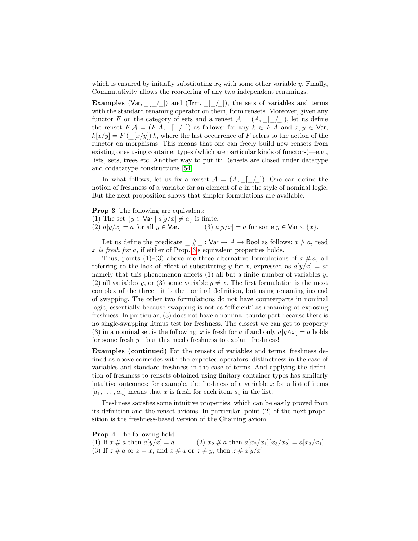which is ensured by initially substituting  $x_2$  with some other variable y. Finally, Commutativity allows the reordering of any two independent renamings.

**Examples** (Var,  $[\_/\]$ ) and (Trm,  $[\_/\]$ ), the sets of variables and terms with the standard renaming operator on them, form rensets. Moreover, given any functor F on the category of sets and a renset  $\mathcal{A} = (A, \underline{\underline{[-]}})$ , let us define the renset  $F \mathcal{A} = (F A, \lfloor \rfloor / \lfloor \rfloor)$  as follows: for any  $k \in F A$  and  $x, y \in V$ ar,  $k[x/y] = F(-[x/y]) k$ , where the last occurrence of F refers to the action of the functor on morphisms. This means that one can freely build new rensets from existing ones using container types (which are particular kinds of functors)—e.g., lists, sets, trees etc. Another way to put it: Rensets are closed under datatype and codatatype constructions [\[54\]](#page-20-8).

In what follows, let us fix a renset  $\mathcal{A} = (A, \underline{\underline{[-]}}).$  One can define the notion of freshness of a variable for an element of a in the style of nominal logic. But the next proposition shows that simpler formulations are available.

<span id="page-5-0"></span>Prop 3 The following are equivalent:

(1) The set  $\{y \in \text{Var} \mid a[y/x] \neq a\}$  is finite.

(2)  $a[y/x] = a$  for all  $y \in \text{Var}$ . (3)  $a[y/x] = a$  for some  $y \in \text{Var} \setminus \{x\}$ .

Let us define the predicate  $\mu$   $\mu$  : Var  $\rightarrow$  A  $\rightarrow$  Bool as follows:  $x \neq a$ , read x is fresh for a, if either of Prop. [3'](#page-5-0)s equivalent properties holds.

Thus, points (1)–(3) above are three alternative formulations of  $x \neq a$ , all referring to the lack of effect of substituting y for x, expressed as  $a[y/x] = a$ . namely that this phenomenon affects  $(1)$  all but a finite number of variables y, (2) all variables y, or (3) some variable  $y \neq x$ . The first formulation is the most complex of the three—it is the nominal definition, but using renaming instead of swapping. The other two formulations do not have counterparts in nominal logic, essentially because swapping is not as "efficient" as renaming at exposing freshness. In particular, (3) does not have a nominal counterpart because there is no single-swapping litmus test for freshness. The closest we can get to property (3) in a nominal set is the following: x is fresh for a if and only  $a[y \wedge x] = a$  holds for some fresh  $y$ —but this needs freshness to explain freshness!

Examples (continued) For the rensets of variables and terms, freshness defined as above coincides with the expected operators: distinctness in the case of variables and standard freshness in the case of terms. And applying the definition of freshness to rensets obtained using finitary container types has similarly intuitive outcomes; for example, the freshness of a variable  $x$  for a list of items  $[a_1, \ldots, a_n]$  means that x is fresh for each item  $a_i$  in the list.

Freshness satisfies some intuitive properties, which can be easily proved from its definition and the renset axioms. In particular, point (2) of the next proposition is the freshness-based version of the Chaining axiom.

<span id="page-5-1"></span>Prop 4 The following hold:

(1) If  $x \neq a$  then  $a[y/x] = a$  (2)  $x_2 \neq a$  then  $a[x_2/x_1][x_3/x_2] = a[x_3/x_1]$ (3) If  $z \neq a$  or  $z = x$ , and  $x \neq a$  or  $z \neq y$ , then  $z \neq a[y/x]$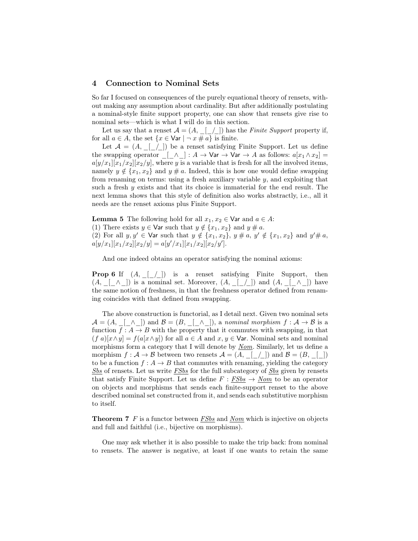## <span id="page-6-0"></span>4 Connection to Nominal Sets

So far I focused on consequences of the purely equational theory of rensets, without making any assumption about cardinality. But after additionally postulating a nominal-style finite support property, one can show that rensets give rise to nominal sets—which is what I will do in this section.

Let us say that a renset  $\mathcal{A} = (A, \mid / \mid)$  has the Finite Support property if, for all  $a \in A$ , the set  $\{x \in \mathsf{Var} \mid \neg x \neq a\}$  is finite.

Let  $\mathcal{A} = (A, \mid /)$  be a renset satisfying Finite Support. Let us define the swapping operator  $[\_ \wedge \_ ] : A \to \text{Var} \to \text{Var} \to A$  as follows:  $a[x_1 \wedge x_2] =$  $a[y/x_1][x_1/x_2][x_2/y]$ , where y is a variable that is fresh for all the involved items, namely  $y \notin \{x_1, x_2\}$  and  $y \notin a$ . Indeed, this is how one would define swapping from renaming on terms: using a fresh auxiliary variable  $y$ , and exploiting that such a fresh  $y$  exists and that its choice is immaterial for the end result. The next lemma shows that this style of definition also works abstractly, i.e., all it needs are the renset axioms plus Finite Support.

**Lemma 5** The following hold for all  $x_1, x_2 \in \mathsf{Var}$  and  $a \in A$ : (1) There exists  $y \in \text{Var}$  such that  $y \notin \{x_1, x_2\}$  and  $y \neq a$ . (2) For all  $y, y' \in \text{Var}$  such that  $y \notin \{x_1, x_2\}$ ,  $y \neq a$ ,  $y' \notin \{x_1, x_2\}$  and  $y' \neq a$ ,  $a[y/x_1][x_1/x_2][x_2/y] = a[y'/x_1][x_1/x_2][x_2/y']$ .

And one indeed obtains an operator satisfying the nominal axioms:

**Prop 6** If  $(A, \lceil / \rceil)$  is a renset satisfying Finite Support, then  $(A, \ \mid \wedge \ \mid)$  is a nominal set. Moreover,  $(A, \lfloor \lfloor \wedge \rfloor \rfloor)$  and  $(A, \lfloor \wedge \lfloor \wedge \rfloor)$  have the same notion of freshness, in that the freshness operator defined from renaming coincides with that defined from swapping.

The above construction is functorial, as I detail next. Given two nominal sets  $\mathcal{A} = (A, [\Lambda])$  and  $\mathcal{B} = (B, [\Lambda])$ , a nominal morphism  $f : \mathcal{A} \to \mathcal{B}$  is a function  $f: A \to B$  with the property that it commutes with swapping, in that  $(f a)[x \wedge y] = f(a[x \wedge y])$  for all  $a \in A$  and  $x, y \in \mathsf{Var}$ . Nominal sets and nominal morphisms form a category that I will denote by  $\underline{Nom}$ . Similarly, let us define a morphism  $f : \mathcal{A} \to \mathcal{B}$  between two rensets  $\mathcal{A} = (A, \underline{\hspace{2mm}[\,\_]\,])}$  and  $\mathcal{B} = (B, \underline{\hspace{2mm}[\,\_]\,])}$ to be a function  $f : A \to B$  that commutes with renaming, yielding the category Sbs of rensets. Let us write FSbs for the full subcategory of Sbs given by rensets that satisfy Finite Support. Let us define  $F : FSbs \to Nom$  to be an operator on objects and morphisms that sends each finite-support renset to the above described nominal set constructed from it, and sends each substitutive morphism to itself.

**Theorem 7** F is a functor between  $FSbs$  and Nom which is injective on objects and full and faithful (i.e., bijective on morphisms).

One may ask whether it is also possible to make the trip back: from nominal to rensets. The answer is negative, at least if one wants to retain the same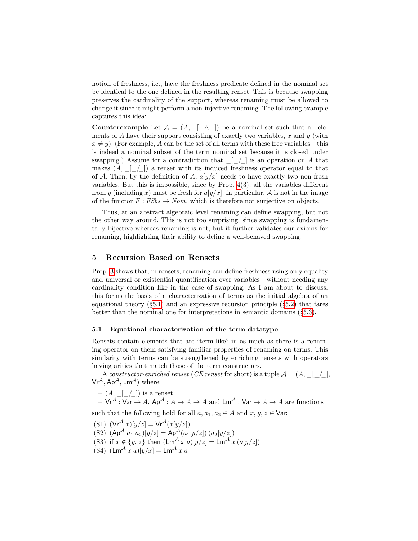notion of freshness, i.e., have the freshness predicate defined in the nominal set be identical to the one defined in the resulting renset. This is because swapping preserves the cardinality of the support, whereas renaming must be allowed to change it since it might perform a non-injective renaming. The following example captures this idea:

**Counterexample** Let  $\mathcal{A} = (A, \underline{\hspace{1cm}} [\begin{array}{c} \wedge \end{array}])$  be a nominal set such that all elements of  $A$  have their support consisting of exactly two variables,  $x$  and  $y$  (with  $x \neq y$ ). (For example, A can be the set of all terms with these free variables—this is indeed a nominal subset of the term nominal set because it is closed under swapping.) Assume for a contradiction that  $\lfloor \lfloor \frac{\ell}{n} \rfloor \rfloor$  is an operation on A that makes  $(A, \lfloor \frac{1}{2} \rfloor)$  a renset with its induced freshness operator equal to that of A. Then, by the definition of A,  $a[y/x]$  needs to have exactly two non-fresh variables. But this is impossible, since by Prop. [4\(](#page-5-1)3), all the variables different from y (including x) must be fresh for  $a[y/x]$ . In particular, A is not in the image of the functor  $F : FSbs \to Nom$ , which is therefore not surjective on objects.

Thus, at an abstract algebraic level renaming can define swapping, but not the other way around. This is not too surprising, since swapping is fundamentally bijective whereas renaming is not; but it further validates our axioms for renaming, highlighting their ability to define a well-behaved swapping.

## <span id="page-7-1"></span>5 Recursion Based on Rensets

Prop. [3](#page-5-0) shows that, in rensets, renaming can define freshness using only equality and universal or existential quantification over variables—without needing any cardinality condition like in the case of swapping. As I am about to discuss, this forms the basis of a characterization of terms as the initial algebra of an equational theory ([§5.1\)](#page-7-0) and an expressive recursion principle ([§5.2\)](#page-10-0) that fares better than the nominal one for interpretations in semantic domains ([§5.3\)](#page-10-1).

### <span id="page-7-0"></span>5.1 Equational characterization of the term datatype

Rensets contain elements that are "term-like" in as much as there is a renaming operator on them satisfying familiar properties of renaming on terms. This similarity with terms can be strengthened by enriching rensets with operators having arities that match those of the term constructors.

A constructor-enriched renset (CE renset for short) is a tuple  $\mathcal{A} = (A, \quad | \quad / \quad |,$  $Vr^{\mathcal{A}}$ , Ap<sup> $\mathcal{A}$ </sup>, Lm<sup> $\mathcal{A}$ </sup>) where:

- 
$$
(A, \_ [\_ / ])
$$
 is a renset  
-  $Ur^A : Var \rightarrow A$ ,  $Ap^A : A \rightarrow A \rightarrow A$  and  $lm^A : Var \rightarrow A \rightarrow A$  are functions

such that the following hold for all  $a, a_1, a_2 \in A$  and  $x, y, z \in V$ ar:

(S1)  $(\text{Vr}^{\mathcal{A}} x)[y/z] = \text{Vr}^{\mathcal{A}}(x[y/z])$ (S2)  $(Ap^{\mathcal{A}} a_1 a_2)[y/z] = Ap^{\mathcal{A}}(a_1[y/z]) (a_2[y/z])$ (S3) if  $x \notin \{y, z\}$  then  $(\operatorname{Lm}^{\mathcal{A}} x a)[y/z] = \operatorname{Lm}^{\mathcal{A}} x (a[y/z])$ (S4)  $(\mathsf{Lm}^{\mathcal{A}} x a)[y/x] = \mathsf{Lm}^{\mathcal{A}} x a$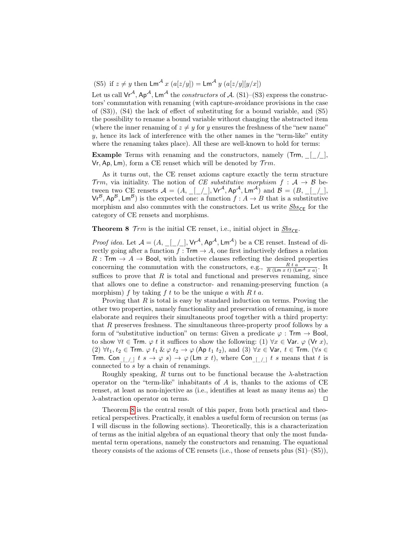(S5) if  $z \neq y$  then  $\textsf{Lm}^{\mathcal{A}} x$   $(a|z/y]) = \textsf{Lm}^{\mathcal{A}} y$   $(a|z/y||y/x])$ 

Let us call  $\mathsf{Vr}^{\mathcal{A}}$ ,  $\mathsf{Ap}^{\mathcal{A}}$ ,  $\mathsf{Lm}^{\mathcal{A}}$  the *constructors* of  $\mathcal{A}$ . (S1)–(S3) express the constructors' commutation with renaming (with capture-avoidance provisions in the case of (S3)), (S4) the lack of effect of substituting for a bound variable, and (S5) the possibility to rename a bound variable without changing the abstracted item (where the inner renaming of  $z \neq y$  for y ensures the freshness of the "new name" y, hence its lack of interference with the other names in the "term-like" entity where the renaming takes place). All these are well-known to hold for terms:

**Example** Terms with renaming and the constructors, namely  $(Trm, \lfloor \frac{\ell}{n} \rfloor)$ ,  $V_r$ , Ap, Lm), form a CE renset which will be denoted by  $\mathcal{T}rm$ .

As it turns out, the CE renset axioms capture exactly the term structure Trm, via initiality. The notion of CE substitutive morphism  $f: \mathcal{A} \rightarrow \mathcal{B}$  between two CE rensets  $\mathcal{A} = (A, \underline{\underline{\ }[\ ]}, \underline{\mathsf{Vr}}^{\mathcal{A}}, \underline{\mathsf{Ap}}^{\mathcal{A}}, \underline{\mathsf{Lm}}^{\mathcal{A}})$  and  $\mathcal{B} = (B, \underline{\underline{\ }[\ ]})$ ,  $\mathsf{Vr}^{\mathcal{B}}, \mathsf{Ap}^{\mathcal{B}}, \mathsf{Lm}^{\mathcal{B}}$  is the expected one: a function  $f : A \to B$  that is a substitutive morphism and also commutes with the constructors. Let us write  $Sbs_{CF}$  for the category of CE rensets and morphisms.

<span id="page-8-0"></span>**Theorem 8**  $\mathcal{T}rm$  is the initial CE renset, i.e., initial object in  $\mathcal{S}bs_{\mathsf{CF}}$ .

*Proof idea.* Let  $A = (A, \underline{\underline{\ }[\ ]}, \underline{\ }$ ,  $\mathrm{Vr}^{\mathcal{A}}, \mathsf{Ap}^{\mathcal{A}}, \underline{\mathrm{Lm}}^{\mathcal{A}})$  be a CE renset. Instead of directly going after a function  $f : \mathsf{Trm} \to A$ , one first inductively defines a relation  $R : \mathsf{Trm} \to A \to \mathsf{Bool}$ , with inductive clauses reflecting the desired properties concerning the commutation with the constructors, e.g.,  $\frac{R t a}{R (\text{Lm } x t) (\text{Lm}^A x a)}$ . It suffices to prove that  $R$  is total and functional and preserves renaming, since that allows one to define a constructor- and renaming-preserving function (a morphism) f by taking f t to be the unique a with R t a.

Proving that  $R$  is total is easy by standard induction on terms. Proving the other two properties, namely functionality and preservation of renaming, is more elaborate and requires their simultaneous proof together with a third property: that R preserves freshness. The simultaneous three-property proof follows by a form of "substitutive induction" on terms: Given a predicate  $\varphi$ : Trm  $\rightarrow$  Bool, to show  $\forall t \in \textsf{Trm. } \varphi \ t$  it suffices to show the following: (1)  $\forall x \in \textsf{Var. } \varphi \ ( \textsf{Vr } x),$ (2)  $\forall t_1, t_2 \in \mathsf{Trm}$ .  $\varphi$   $t_1 \& \varphi$   $t_2 \rightarrow \varphi$  (Ap  $t_1$   $t_2$ ), and (3)  $\forall x \in \mathsf{Var}, t \in \mathsf{Trm}$ . ( $\forall s \in \mathsf{T}$ Trm. Con<sub>[[d]</sub>  $t s \to \varphi s$   $\to \varphi$  (Lm x t), where Con<sub>[[d]</sub> t s means that t is connected to s by a chain of renamings.

Roughly speaking, R turns out to be functional because the  $\lambda$ -abstraction operator on the "term-like" inhabitants of  $A$  is, thanks to the axioms of  $CE$ renset, at least as non-injective as (i.e., identifies at least as many items as) the  $\lambda$ -abstraction operator on terms.  $\square$ 

Theorem [8](#page-8-0) is the central result of this paper, from both practical and theoretical perspectives. Practically, it enables a useful form of recursion on terms (as I will discuss in the following sections). Theoretically, this is a characterization of terms as the initial algebra of an equational theory that only the most fundamental term operations, namely the constructors and renaming. The equational theory consists of the axioms of CE rensets (i.e., those of rensets plus (S1)–(S5)),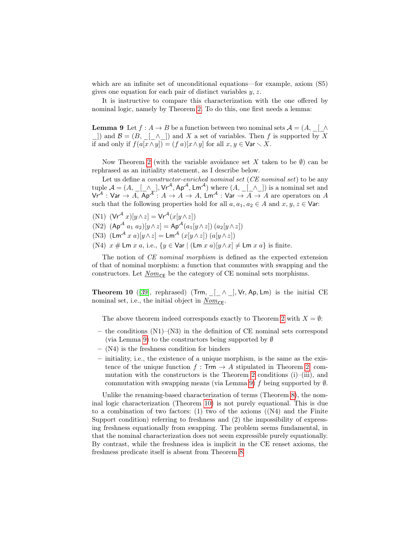which are an infinite set of unconditional equations—for example, axiom (S5) gives one equation for each pair of distinct variables  $y, z$ .

It is instructive to compare this characterization with the one offered by nominal logic, namely by Theorem [2.](#page-4-1) To do this, one first needs a lemma:

<span id="page-9-0"></span>**Lemma 9** Let  $f : A \to B$  be a function between two nominal sets  $A = (A, \dots, A)$ ]) and  $\mathcal{B} = (B, [\triangle]$  and X a set of variables. Then f is supported by X if and only if  $f(a[x \wedge y]) = (f a)[x \wedge y]$  for all  $x, y \in \mathsf{Var} \setminus X$ .

Now Theorem [2](#page-4-1) (with the variable avoidance set X taken to be  $\emptyset$ ) can be rephrased as an initiality statement, as I describe below.

Let us define a *constructor-enriched nominal set* (*CE nominal set*) to be any tuple  $\mathcal{A} = (A, \quad [\land], \text{Vr}^{\mathcal{A}}, \text{Ap}^{\mathcal{A}}, \text{Lm}^{\mathcal{A}})$  where  $(A, \quad [\land])$  is a nominal set and  $\text{Vr}^{\mathcal{A}}$  :  $\text{Var} \to A$ ,  $\overline{Ap^{\mathcal{A}}}$  :  $A \to A \to A$ ,  $\text{Lm}^{\mathcal{A}}$  :  $\text{Var} \to A \to A$  are operators on A such that the following properties hold for all  $a, a_1, a_2 \in A$  and  $x, y, z \in V$ ar:

- (N1)  $(\text{Vr}^{\mathcal{A}} x)[y \wedge z] = \text{Vr}^{\mathcal{A}}(x[y \wedge z])$
- (N2)  $(Ap^{\mathcal{A}} a_1 a_2)[y \wedge z] = Ap^{\mathcal{A}}(a_1[y \wedge z]) (a_2[y \wedge z])$
- (N3)  $(\text{Lm}^{\mathcal{A}} x a)[y \wedge z] = \text{Lm}^{\mathcal{A}} (x[y \wedge z]) (a[y \wedge z])$
- (N4)  $x \neq \textsf{Lm} \ x \ a$ , i.e.,  $\{y \in \textsf{Var} \mid (\textsf{Lm} \ x \ a)[y \wedge x] \neq \textsf{Lm} \ x \ a\}$  is finite.

The notion of CE nominal morphism is defined as the expected extension of that of nominal morphism: a function that commutes with swapping and the constructors. Let  $\underline{Nom}_{\mathsf{CE}}$  be the category of CE nominal sets morphisms.

<span id="page-9-1"></span>**Theorem 10** ([\[39\]](#page-19-0), rephrased) (Trm,  $[\_ \wedge \_ ]$ , Vr, Ap, Lm) is the initial CE nominal set, i.e., the initial object in  $\underline{Nom}_{CE}$ .

The above theorem indeed corresponds exactly to Theorem [2](#page-4-1) with  $X = \emptyset$ :

- the conditions  $(N1)$ – $(N3)$  in the definition of CE nominal sets correspond (via Lemma [9\)](#page-9-0) to the constructors being supported by  $\emptyset$
- (N4) is the freshness condition for binders
- initiality, i.e., the existence of a unique morphism, is the same as the existence of the unique function  $f : \mathsf{Trm} \to A$  stipulated in Theorem [2:](#page-4-1) com-mutation with the constructors is the Theorem [2](#page-4-1) conditions  $(i)$ – $(iii)$ , and commutation with swapping means (via Lemma [9\)](#page-9-0) f being supported by  $\emptyset$ .

Unlike the renaming-based characterization of terms (Theorem [8\)](#page-8-0), the nominal logic characterization (Theorem [10\)](#page-9-1) is not purely equational. This is due to a combination of two factors: (1) two of the axioms  $((N4)$  and the Finite Support condition) referring to freshness and (2) the impossibility of expressing freshness equationally from swapping. The problem seems fundamental, in that the nominal characterization does not seem expressible purely equationally. By contrast, while the freshness idea is implicit in the CE renset axioms, the freshness predicate itself is absent from Theorem [8.](#page-8-0)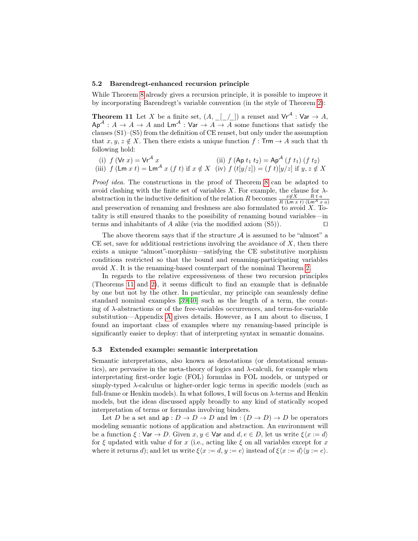#### <span id="page-10-0"></span>5.2 Barendregt-enhanced recursion principle

While Theorem [8](#page-8-0) already gives a recursion principle, it is possible to improve it by incorporating Barendregt's variable convention (in the style of Theorem [2\)](#page-4-1):

<span id="page-10-2"></span>**Theorem 11** Let X be a finite set,  $(A, \mid / \mid)$  a renset and  $Vr^{\mathcal{A}} : Var \to A$ ,  $Ap^{\mathcal{A}}: A \to A \to A$  and  $\mathsf{Lm}^{\mathcal{A}}: \mathsf{Var} \to A \to A$  some functions that satisfy the clauses (S1)–(S5) from the definition of CE renset, but only under the assumption that  $x, y, z \notin X$ . Then there exists a unique function  $f : \mathsf{Trm} \to A$  such that th following hold:

(i) 
$$
f
$$
 (Vr  $x$ ) = Vr<sup>A</sup>  $x$   
\n(ii)  $f$  (Ap  $t_1$   $t_2$ ) = Ap<sup>A</sup>  $(f t_1)$   $(f t_2)$   
\n(iii)  $f$  (Lm  $x$   $t$ ) = Lm<sup>A</sup>  $x$   $(f t)$  if  $x \notin X$  (iv)  $f$   $(t[y/z]) = (f t)[y/z]$  if  $y, z \notin X$ 

Proof idea. The constructions in the proof of Theorem [8](#page-8-0) can be adapted to avoid clashing with the finite set of variables X. For example, the clause for  $\lambda$ abstraction in the inductive definition of the relation R becomes  $\frac{x \notin X}{R (\ln x t)} \frac{R t a}{(\ln x + x a)}$ and preservation of renaming and freshness are also formulated to avoid  $X$ . Totality is still ensured thanks to the possibility of renaming bound variables—in terms and inhabitants of A alike (via the modified axiom  $(S5)$ ).

The above theorem says that if the structure  $A$  is assumed to be "almost" a CE set, save for additional restrictions involving the avoidance of  $X$ , then there exists a unique "almost"-morphism—satisfying the CE substitutive morphism conditions restricted so that the bound and renaming-participating variables avoid X. It is the renaming-based counterpart of the nominal Theorem [2.](#page-4-1)

In regards to the relative expressiveness of these two recursion principles (Theorems [11](#page-10-2) and [2\)](#page-4-1), it seems difficult to find an example that is definable by one but not by the other. In particular, my principle can seamlessly define standard nominal examples [\[39,](#page-19-0)[40\]](#page-19-9) such as the length of a term, the counting of  $\lambda$ -abstractions or of the free-variables occurrences, and term-for-variable substitution—Appendix [A](#page-21-0) gives details. However, as I am about to discuss, I found an important class of examples where my renaming-based principle is significantly easier to deploy: that of interpreting syntax in semantic domains.

#### <span id="page-10-1"></span>5.3 Extended example: semantic interpretation

Semantic interpretations, also known as denotations (or denotational semantics), are pervasive in the meta-theory of logics and  $\lambda$ -calculi, for example when interpretating first-order logic (FOL) formulas in FOL models, or untyped or simply-typed  $\lambda$ -calculus or higher-order logic terms in specific models (such as full-frame or Henkin models). In what follows, I will focus on  $\lambda$ -terms and Henkin models, but the ideas discussed apply broadly to any kind of statically scoped interpretation of terms or formulas involving binders.

Let D be a set and  $ap: D \to D \to D$  and  $lm: (D \to D) \to D$  be operators modeling semantic notions of application and abstraction. An environment will be a function  $\xi : \text{Var} \to D$ . Given  $x, y \in \text{Var}$  and  $d, e \in D$ , let us write  $\xi \langle x := d \rangle$ for  $\xi$  updated with value d for x (i.e., acting like  $\xi$  on all variables except for x where it returns d); and let us write  $\xi\langle x := d, y := e\rangle$  instead of  $\xi\langle x := d\rangle\langle y := e\rangle$ .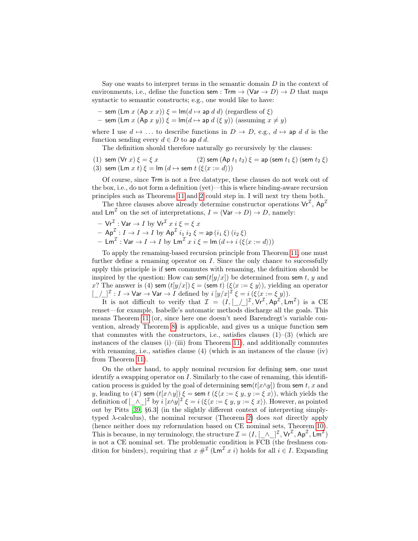Say one wants to interpret terms in the semantic domain D in the context of environments, i.e., define the function sem :  $\text{Trm} \rightarrow (\text{Var} \rightarrow D) \rightarrow D$  that maps syntactic to semantic constructs; e.g., one would like to have:

- sem (Lm x (Ap x x))  $\xi = \text{Im}(d \mapsto \text{ap } d \, d)$  (regardless of  $\xi$ )
- sem (Lm x (Ap x y))  $\xi = \text{Im}(d \mapsto \text{ap } d (\xi y))$  (assuming  $x \neq y$ )

where I use  $d \mapsto \dots$  to describe functions in  $D \to D$ , e.g.,  $d \mapsto$  ap d d is the function sending every  $d \in D$  to ap d d.

The definition should therefore naturally go recursively by the clauses:

- (1) sem  $(\forall r \ x) \ \xi = \xi \ x$  (2) sem  $(\text{Ap } t_1 \ t_2) \ \xi = \text{ap (sem } t_1 \ \xi)$  (sem  $t_2 \ \xi$ )
- (3) sem  $(\text{Lm } x t) \xi = \text{Im} (d \mapsto \text{sem } t (\xi \langle x := d \rangle))$

Of course, since Trm is not a free datatype, these clauses do not work out of the box, i.e., do not form a definition (yet)—this is where binding-aware recursion principles such as Theorems [11](#page-10-2) and [2](#page-4-1) could step in. I will next try them both.

The three clauses above already determine constructor operations  $\mathsf{Vr}^{\mathcal{I}}, \mathsf{Ap}^{\mathcal{I}}$ and  $\mathsf{Lm}^{\mathcal{I}}$  on the set of interpretations,  $I = (\mathsf{Var} \to D) \to D$ , namely:

- $\mathsf{Vr}^\mathcal{I}:\mathsf{Var}\to I$  by  $\mathsf{Vr}^\mathcal{I}$   $x$   $i$   $\xi=\xi$   $x$
- $-$  Ap<sup>T</sup> :  $I \to I \to I$  by Ap<sup>T</sup>  $i_1$   $i_2$   $\xi =$  ap  $(i_1 \xi)$   $(i_2 \xi)$
- $-$  Lm<sup>T</sup> : Var  $\rightarrow$   $I \rightarrow I$  by Lm<sup>T</sup>  $x i \xi =$  lm  $(d \mapsto i (\xi \langle x := d \rangle))$

To apply the renaming-based recursion principle from Theorem [11,](#page-10-2) one must further define a renaming operator on  $I$ . Since the only chance to successfully apply this principle is if sem commutes with renaming, the definition should be inspired by the question: How can sem $(t[y/x])$  be determined from sem t, y and x? The answer is (4) sem  $(t[y/x]) \xi =$  (sem t)  $(\xi \langle x := \xi y \rangle)$ , yielding an operator  $[\_ \_ \rvert^{\mathcal{I}} : I \to \mathsf{Var} \to \mathsf{Var} \to I$  defined by  $i [y/x]^{\mathcal{I}} \xi = i (\xi \langle x := \xi y \rangle).$ 

It is not difficult to verify that  $\mathcal{I} = (I, [}/\mathcal{I}, Vr^{\mathcal{I}}, Ap^{\mathcal{I}}, Lm^{\mathcal{I}})$  is a CE renset—for example, Isabelle's automatic methods discharge all the goals. This means Theorem [11](#page-10-2) (or, since here one doesn't need Barendregt's variable convention, already Theorem [8\)](#page-8-0) is applicable, and gives us a unique function sem that commutes with the constructors, i.e., satisfies clauses  $(1)-(3)$  (which are instances of the clauses (i)–(iii) from Theorem [11\)](#page-10-2), and additionally commutes with renaming, i.e., satisfies clause  $(4)$  (which is an instances of the clause (iv) from Theorem [11\)](#page-10-2).

On the other hand, to apply nominal recursion for defining sem, one must identify a swapping operator on  $I$ . Similarly to the case of renaming, this identification process is guided by the goal of determining sem $(t[x\wedge y])$  from sem t, x and y, leading to (4') sem  $(t[x \wedge y]) \xi = \text{sem } t (\xi \langle x := \xi y, y := \xi x \rangle)$ , which yields the definition of  $[\begin{array}{c} \wedge \end{array}]^{\mathcal{I}}$  by  $i [x \wedge y]^{\mathcal{I}} \xi = i (\xi \langle x := \xi y, y := \xi x \rangle)$ . However, as pointed out by Pitts [\[39,](#page-19-0) §6.3] (in the slightly different context of interpreting simplytyped  $\lambda$ -calculus), the nominal recursor (Theorem [2\)](#page-4-1) does not directly apply (hence neither does my reformulation based on CE nominal sets, Theorem [10\)](#page-9-1). This is because, in my terminology, the structure  $\mathcal{I} = (I, [\triangle \triangle ]^{\mathcal{I}}, \mathsf{Vr}^{\mathcal{I}}, \mathsf{Ap}^{\mathcal{I}}, \mathsf{Lm}^{\mathcal{I}})$ is not a CE nominal set. The problematic condition is  $\overrightarrow{FCB}$  (the freshness condition for binders), requiring that  $x \#^{\mathcal{I}}(\textsf{Lm}^{\mathcal{I}} x i)$  holds for all  $i \in I$ . Expanding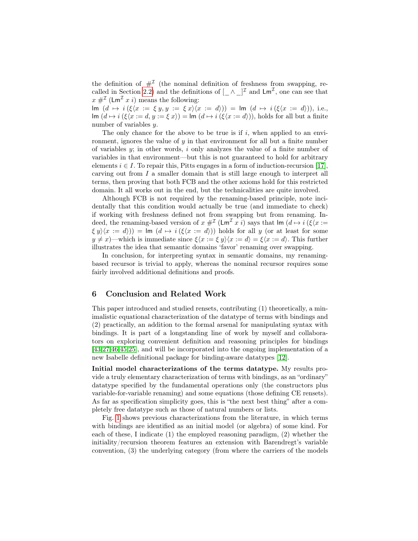the definition of  $#^{\mathcal{I}}$  (the nominal definition of freshness from swapping, re-called in Section [2.2\)](#page-3-0) and the definitions of  $[-\wedge ]^{\mathcal{I}}$  and  $\mathsf{Lm}^{\mathcal{I}}$ , one can see that  $x \#^{\mathcal{I}}(\mathsf{Lm}^{\mathcal{I}} x i)$  means the following:

 $\mathsf{Im} \, (d \mapsto i \, (\xi \langle x := \xi \, y, y := \xi \, x \rangle \langle x := d \rangle)) = \mathsf{Im} \, (d \mapsto i \, (\xi \langle x := d \rangle)), \text{ i.e.,}$  $\mathsf{Im} \, (d \mapsto i \, (\xi \langle x := d, y := \xi \, x \rangle) = \mathsf{Im} \, (d \mapsto i \, (\xi \langle x := d \rangle))$ , holds for all but a finite number of variables  $y$ .

The only chance for the above to be true is if  $i$ , when applied to an environment, ignores the value of y in that environment for all but a finite number of variables  $y$ ; in other words, i only analyzes the value of a finite number of variables in that environment—but this is not guaranteed to hold for arbitrary elements  $i \in I$ . To repair this, Pitts engages in a form of induction-recursion [\[17\]](#page-18-7), carving out from I a smaller domain that is still large enough to interpret all terms, then proving that both FCB and the other axioms hold for this restricted domain. It all works out in the end, but the technicalities are quite involved.

Although FCB is not required by the renaming-based principle, note incidentally that this condition would actually be true (and immediate to check) if working with freshness defined not from swapping but from renaming. Indeed, the renaming-based version of  $x \#^{\mathcal{I}}(\textsf{Lm}^{\mathcal{I}}\tilde{x}^i)$  says that  $\textsf{Im}(d \mapsto i \in \mathcal{I}x :=$  $\langle \xi y \rangle (x := d \rangle) = \text{Im} (d \mapsto i (\xi \langle x := d \rangle))$  holds for all y (or at least for some  $y \neq x$ )—which is immediate since  $\xi \langle x := \xi y \rangle \langle x := d \rangle = \xi \langle x := d \rangle$ . This further illustrates the idea that semantic domains 'favor' renaming over swapping.

In conclusion, for interpreting syntax in semantic domains, my renamingbased recursor is trivial to apply, whereas the nominal recursor requires some fairly involved additional definitions and proofs.

## <span id="page-12-0"></span>6 Conclusion and Related Work

This paper introduced and studied rensets, contributing (1) theoretically, a minimalistic equational characterization of the datatype of terms with bindings and (2) practically, an addition to the formal arsenal for manipulating syntax with bindings. It is part of a longstanding line of work by myself and collaborators on exploring convenient definition and reasoning principles for bindings [\[43](#page-19-5)[,27](#page-18-8)[,46,](#page-20-2)[45,](#page-19-10)[25\]](#page-18-4), and will be incorporated into the ongoing implementation of a new Isabelle definitional package for binding-aware datatypes [\[12\]](#page-17-4).

Initial model characterizations of the terms datatype. My results provide a truly elementary characterization of terms with bindings, as an "ordinary" datatype specified by the fundamental operations only (the constructors plus variable-for-variable renaming) and some equations (those defining CE rensets). As far as specification simplicity goes, this is "the next best thing" after a completely free datatype such as those of natural numbers or lists.

Fig. [1](#page-13-0) shows previous characterizations from the literature, in which terms with bindings are identified as an initial model (or algebra) of some kind. For each of these, I indicate (1) the employed reasoning paradigm, (2) whether the initiality/recursion theorem features an extension with Barendregt's variable convention, (3) the underlying category (from where the carriers of the models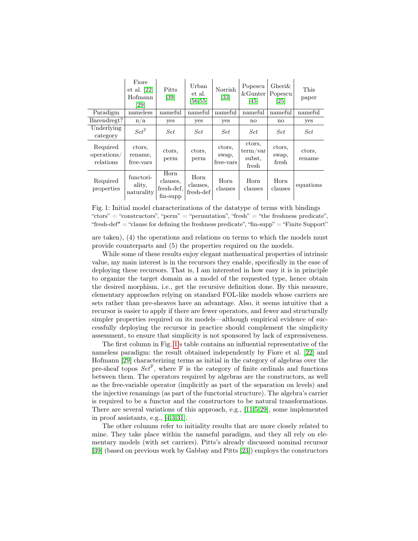<span id="page-13-0"></span>

|                                      | Fiore<br>et al. [22]<br>Hofmann<br>[29] | Pitts<br>[39]                              | Urban<br>et al.<br>[56, 55]   | <b>Norrish</b><br>[33]       | Popescu<br>$\&$ Gunter<br>[45]        | Gheri&<br>Popescu<br>[25] | This<br>paper    |
|--------------------------------------|-----------------------------------------|--------------------------------------------|-------------------------------|------------------------------|---------------------------------------|---------------------------|------------------|
| Paradigm                             | nameless                                | nameful                                    | nameful                       | nameful                      | nameful                               | nameful                   | nameful          |
| Barendregt?                          | n/a                                     | yes                                        | yes                           | yes                          | no                                    | $\mathbf{n}$              | yes              |
| Underlying<br>category               | $Set^{\mathbb{F}}$                      | <b>Set</b>                                 | Set                           | Set                          | Set.                                  | Set                       | <b>Set</b>       |
| Required<br>operations/<br>relations | ctors,<br>rename,<br>free-vars          | ctors,<br>perm                             | ctors,<br>perm                | ctors,<br>swap,<br>free-vars | ctors,<br>term/var<br>subst,<br>fresh | ctors.<br>swap,<br>fresh  | ctors,<br>rename |
| Required<br>properties               | functori-<br>ality,<br>naturality       | Horn<br>clauses,<br>fresh-def.<br>fin-supp | Horn<br>clauses,<br>fresh-def | Horn<br>clauses              | Horn<br>clauses                       | Horn<br>clauses           | equations        |

Fig. 1: Initial model characterizations of the datatype of terms with bindings "ctors" = "constructors", "perm" = "permutation", "fresh" = "the freshness predicate", "fresh-def" = "clause for defining the freshness predicate", "fin-supp" = "Finite Support"

are taken), (4) the operations and relations on terms to which the models must provide counterparts and (5) the properties required on the models.

While some of these results enjoy elegant mathematical properties of intrinsic value, my main interest is in the recursors they enable, specifically in the ease of deploying these recursors. That is, I am interested in how easy it is in principle to organize the target domain as a model of the requested type, hence obtain the desired morphism, i.e., get the recursive definition done. By this measure, elementary approaches relying on standard FOL-like models whose carriers are sets rather than pre-sheaves have an advantage. Also, it seems intuitive that a recursor is easier to apply if there are fewer operators, and fewer and structurally simpler properties required on its models—although empirical evidence of successfully deploying the recursor in practice should complement the simplicity assessment, to ensure that simplicity is not sponsored by lack of expressiveness.

The first column in Fig. [1'](#page-13-0)s table contains an influential representative of the nameless paradigm: the result obtained independently by Fiore et al. [\[22\]](#page-18-6) and Hofmann [\[29\]](#page-18-9) characterizing terms as initial in the category of algebras over the pre-sheaf topos  $Set^{\mathbb{F}}$ , where  $\mathbb{F}$  is the category of finite ordinals and functions between them. The operators required by algebras are the constructors, as well as the free-variable operator (implicitly as part of the separation on levels) and the injective renamings (as part of the functorial structure). The algebra's carrier is required to be a functor and the constructors to be natural transformations. There are several variations of this approach, e.g., [\[11,](#page-17-6)[5,](#page-17-7)[29\]](#page-18-9), some implemented in proof assistants, e.g., [\[4,](#page-17-1)[3](#page-17-8)[,31\]](#page-19-11).

The other columns refer to initiality results that are more closely related to mine. They take place within the nameful paradigm, and they all rely on elementary models (with set carriers). Pitts's already discussed nominal recursor [\[39\]](#page-19-0) (based on previous work by Gabbay and Pitts [\[23\]](#page-18-0)) employs the constructors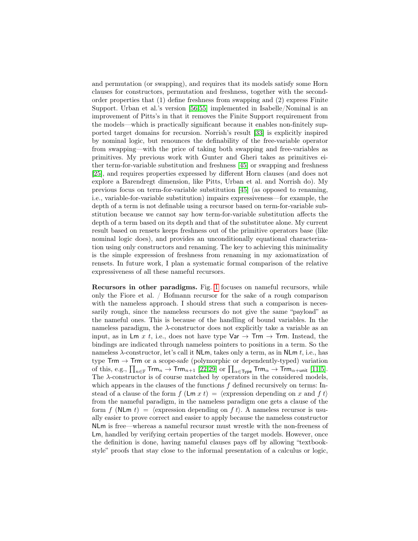and permutation (or swapping), and requires that its models satisfy some Horn clauses for constructors, permutation and freshness, together with the secondorder properties that (1) define freshness from swapping and (2) express Finite Support. Urban et al.'s version [\[56,](#page-20-3)[55\]](#page-20-4) implemented in Isabelle/Nominal is an improvement of Pitts's in that it removes the Finite Support requirement from the models—which is practically significant because it enables non-finitely supported target domains for recursion. Norrish's result [\[33\]](#page-19-4) is explicitly inspired by nominal logic, but renounces the definability of the free-variable operator from swapping—with the price of taking both swapping and free-variables as primitives. My previous work with Gunter and Gheri takes as primitives either term-for-variable substitution and freshness [\[45\]](#page-19-10) or swapping and freshness [\[25\]](#page-18-4), and requires properties expressed by different Horn clauses (and does not explore a Barendregt dimension, like Pitts, Urban et al. and Norrish do). My previous focus on term-for-variable substitution [\[45\]](#page-19-10) (as opposed to renaming, i.e., variable-for-variable substitution) impairs expressiveness—for example, the depth of a term is not definable using a recursor based on term-for-variable substitution because we cannot say how term-for-variable substitution affects the depth of a term based on its depth and that of the substitutee alone. My current result based on rensets keeps freshness out of the primitive operators base (like nominal logic does), and provides an unconditionally equational characterization using only constructors and renaming. The key to achieving this minimality is the simple expression of freshness from renaming in my axiomatization of rensets. In future work, I plan a systematic formal comparison of the relative expressiveness of all these nameful recursors.

Recursors in other paradigms. Fig. [1](#page-13-0) focuses on nameful recursors, while only the Fiore et al. / Hofmann recursor for the sake of a rough comparison with the nameless approach. I should stress that such a comparison is necessarily rough, since the nameless recursors do not give the same "payload" as the nameful ones. This is because of the handling of bound variables. In the nameless paradigm, the  $\lambda$ -constructor does not explicitly take a variable as an input, as in Lm x t, i.e., does not have type  $\forall$ ar  $\rightarrow$  Trm  $\rightarrow$  Trm. Instead, the bindings are indicated through nameless pointers to positions in a term. So the nameless  $\lambda$ -constructor, let's call it NLm, takes only a term, as in NLm t, i.e., has type  $\textsf{Trm} \rightarrow \textsf{Trm}$  or a scope-safe (polymorphic or dependently-typed) variation of this, e.g.,  $\prod_{n\in\mathbb{F}}$  Trm $_n$   $\rightarrow$  Trm $_{n+1}$  [\[22,](#page-18-6)[29\]](#page-18-9) or  $\prod_{\alpha\in\text{Type}}$  Trm $_\alpha$   $\rightarrow$  Trm $_{\alpha+$ unit [\[11](#page-17-6)[,5\]](#page-17-7). The  $\lambda$ -constructor is of course matched by operators in the considered models, which appears in the clauses of the functions  $f$  defined recursively on terms: Instead of a clause of the form  $f(\text{Lm } x t) = \langle \text{expression depending on } x \text{ and } f t \rangle$ from the nameful paradigm, in the nameless paradigm one gets a clause of the form f (NLm t) =  $\langle$  expression depending on f t $\rangle$ . A nameless recursor is usually easier to prove correct and easier to apply because the nameless constructor NLm is free—whereas a nameful recursor must wrestle with the non-freeness of Lm, handled by verifying certain properties of the target models. However, once the definition is done, having nameful clauses pays off by allowing "textbookstyle" proofs that stay close to the informal presentation of a calculus or logic,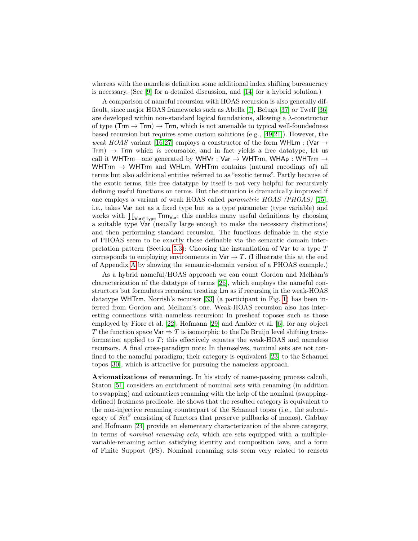whereas with the nameless definition some additional index shifting bureaucracy is necessary. (See [\[9\]](#page-17-2) for a detailed discussion, and [\[14\]](#page-17-3) for a hybrid solution.)

A comparison of nameful recursion with HOAS recursion is also generally difficult, since major HOAS frameworks such as Abella [\[7\]](#page-17-9), Beluga [\[37\]](#page-19-12) or Twelf [\[36\]](#page-19-13) are developed within non-standard logical foundations, allowing a  $\lambda$ -constructor of type ( $\text{Trm} \rightarrow \text{Trm}$ )  $\rightarrow \text{Trm}$ , which is not amenable to typical well-foundedness based recursion but requires some custom solutions (e.g., [\[49,](#page-20-9)[21\]](#page-18-10)). However, the weak HOAS variant [\[16](#page-17-10)[,27\]](#page-18-8) employs a constructor of the form WHLm : (Var  $\rightarrow$  $Trm) \rightarrow Trm$  which is recursable, and in fact yields a free datatype, let us call it WHTrm—one generated by WHVr : Var  $\rightarrow$  WHTrm, WHAp : WHTrm  $\rightarrow$ WHTrm  $\rightarrow$  WHTrm and WHLm. WHTrm contains (natural encodings of) all terms but also additional entities referred to as "exotic terms". Partly because of the exotic terms, this free datatype by itself is not very helpful for recursively defining useful functions on terms. But the situation is dramatically improved if one employs a variant of weak HOAS called parametric HOAS (PHOAS) [\[15\]](#page-17-11), i.e., takes Var not as a fixed type but as a type parameter (type variable) and works with  $\prod_{\text{Var}\in \text{Type}}$  Trm<sub>Var</sub>; this enables many useful definitions by choosing a suitable type Var (usually large enough to make the necessary distinctions) and then performing standard recursion. The functions definable in the style of PHOAS seem to be exactly those definable via the semantic domain inter-pretation pattern (Section [5.3\)](#page-10-1): Choosing the instantiation of  $\forall$ ar to a type T corresponds to employing environments in  $\forall$ ar  $\rightarrow$  T. (I illustrate this at the end of Appendix [A](#page-21-0) by showing the semantic-domain version of a PHOAS example.)

As a hybrid nameful/HOAS approach we can count Gordon and Melham's characterization of the datatype of terms [\[26\]](#page-18-11), which employs the nameful constructors but formulates recursion treating Lm as if recursing in the weak-HOAS datatype WHTrm. Norrish's recursor [\[33\]](#page-19-4) (a participant in Fig. [1\)](#page-13-0) has been inferred from Gordon and Melham's one. Weak-HOAS recursion also has interesting connections with nameless recursion: In presheaf toposes such as those employed by Fiore et al. [\[22\]](#page-18-6), Hofmann [\[29\]](#page-18-9) and Ambler et al. [\[6\]](#page-17-12), for any object T the function space  $\forall$ ar  $\Rightarrow$  T is isomorphic to the De Bruijn level shifting transformation applied to  $T$ ; this effectively equates the weak-HOAS and nameless recursors. A final cross-paradigm note: In themselves, nominal sets are not confined to the nameful paradigm; their category is equivalent [\[23\]](#page-18-0) to the Schanuel topos [\[30\]](#page-19-14), which is attractive for pursuing the nameless approach.

Axiomatizations of renaming. In his study of name-passing process calculi, Staton [\[51\]](#page-20-10) considers an enrichment of nominal sets with renaming (in addition to swapping) and axiomatizes renaming with the help of the nominal (swappingdefined) freshness predicate. He shows that the resulted category is equivalent to the non-injective renaming counterpart of the Schanuel topos (i.e., the subcategory of  $Set^{\mathbb{F}}$  consisting of functors that preserve pullbacks of monos). Gabbay and Hofmann [\[24\]](#page-18-12) provide an elementary characterization of the above category, in terms of nominal renaming sets, which are sets equipped with a multiplevariable-renaming action satisfying identity and composition laws, and a form of Finite Support (FS). Nominal renaming sets seem very related to rensets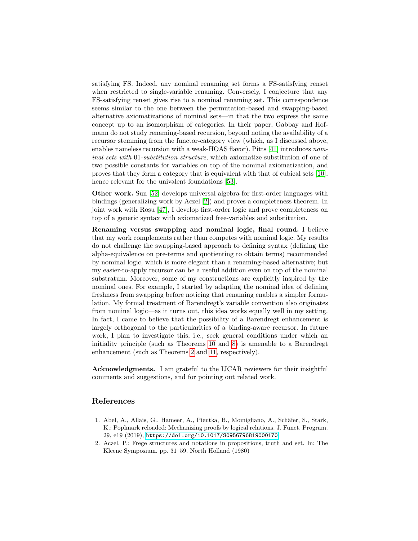satisfying FS. Indeed, any nominal renaming set forms a FS-satisfying renset when restricted to single-variable renaming. Conversely, I conjecture that any FS-satisfying renset gives rise to a nominal renaming set. This correspondence seems similar to the one between the permutation-based and swapping-based alternative axiomatizations of nominal sets—in that the two express the same concept up to an isomorphism of categories. In their paper, Gabbay and Hofmann do not study renaming-based recursion, beyond noting the availability of a recursor stemming from the functor-category view (which, as I discussed above, enables nameless recursion with a weak-HOAS flavor). Pitts [\[41\]](#page-19-15) introduces nominal sets with 01-substitution structure, which axiomatize substitution of one of two possible constants for variables on top of the nominal axiomatization, and proves that they form a category that is equivalent with that of cubical sets [\[10\]](#page-17-13), hence relevant for the univalent foundations [\[53\]](#page-20-11).

Other work. Sun [\[52\]](#page-20-12) develops universal algebra for first-order languages with bindings (generalizing work by Aczel [\[2\]](#page-16-1)) and proves a completeness theorem. In joint work with Roşu [\[47\]](#page-20-13), I develop first-order logic and prove completeness on top of a generic syntax with axiomatized free-variables and substitution.

Renaming versus swapping and nominal logic, final round. I believe that my work complements rather than competes with nominal logic. My results do not challenge the swapping-based approach to defining syntax (defining the alpha-equivalence on pre-terms and quotienting to obtain terms) recommended by nominal logic, which is more elegant than a renaming-based alternative; but my easier-to-apply recursor can be a useful addition even on top of the nominal substratum. Moreover, some of my constructions are explicitly inspired by the nominal ones. For example, I started by adapting the nominal idea of defining freshness from swapping before noticing that renaming enables a simpler formulation. My formal treatment of Barendregt's variable convention also originates from nominal logic—as it turns out, this idea works equally well in my setting. In fact, I came to believe that the possibility of a Barendregt enhancement is largely orthogonal to the particularities of a binding-aware recursor. In future work, I plan to investigate this, i.e., seek general conditions under which an initiality principle (such as Theorems [10](#page-9-1) and [8\)](#page-8-0) is amenable to a Barendregt enhancement (such as Theorems [2](#page-4-1) and [11,](#page-10-2) respectively).

Acknowledgments. I am grateful to the IJCAR reviewers for their insightful comments and suggestions, and for pointing out related work.

## References

- <span id="page-16-0"></span>1. Abel, A., Allais, G., Hameer, A., Pientka, B., Momigliano, A., Schäfer, S., Stark, K.: Poplmark reloaded: Mechanizing proofs by logical relations. J. Funct. Program. 29, e19 (2019), <https://doi.org/10.1017/S0956796819000170>
- <span id="page-16-1"></span>2. Aczel, P.: Frege structures and notations in propositions, truth and set. In: The Kleene Symposium. pp. 31–59. North Holland (1980)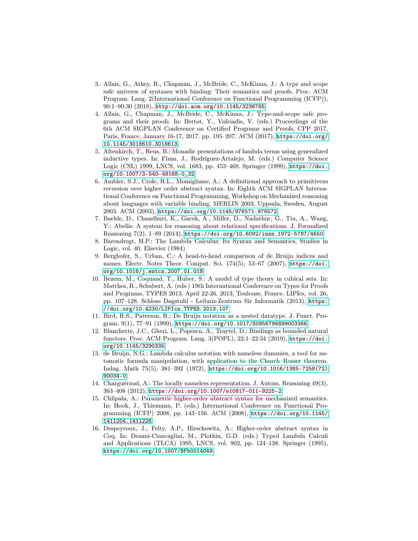- <span id="page-17-8"></span>3. Allais, G., Atkey, R., Chapman, J., McBride, C., McKinna, J.: A type and scope safe universe of syntaxes with binding: Their semantics and proofs. Proc. ACM Program. Lang. 2(International Conference on Functional Programming (ICFP)), 90:1–90:30 (2018), <http://doi.acm.org/10.1145/3236785>
- <span id="page-17-1"></span>4. Allais, G., Chapman, J., McBride, C., McKinna, J.: Type-and-scope safe programs and their proofs. In: Bertot, Y., Vafeiadis, V. (eds.) Proceedings of the 6th ACM SIGPLAN Conference on Certified Programs and Proofs, CPP 2017, Paris, France, January 16-17, 2017. pp. 195–207. ACM (2017), [https://doi.org/](https://doi.org/10.1145/3018610.3018613) [10.1145/3018610.3018613](https://doi.org/10.1145/3018610.3018613)
- <span id="page-17-7"></span>5. Altenkirch, T., Reus, B.: Monadic presentations of lambda terms using generalized inductive types. In: Flum, J., Rodríguez-Artalejo, M. (eds.) Computer Science Logic (CSL) 1999, LNCS, vol. 1683, pp. 453–468. Springer (1999), [https://doi.](https://doi.org/10.1007/3-540-48168-0_32) [org/10.1007/3-540-48168-0\\_32](https://doi.org/10.1007/3-540-48168-0_32)
- <span id="page-17-12"></span>6. Ambler, S.J., Crole, R.L., Momigliano, A.: A definitional approach to primitivexs recursion over higher order abstract syntax. In: Eighth ACM SIGPLAN International Conference on Functional Programming, Workshop on Mechanized reasoning about languages with variable binding, MERLIN 2003, Uppsala, Sweden, August 2003. ACM (2003), <https://doi.org/10.1145/976571.976572>
- <span id="page-17-9"></span>7. Baelde, D., Chaudhuri, K., Gacek, A., Miller, D., Nadathur, G., Tiu, A., Wang, Y.: Abella: A system for reasoning about relational specifications. J. Formalized Reasoning 7(2), 1–89 (2014), <https://doi.org/10.6092/issn.1972-5787/4650>
- <span id="page-17-5"></span>8. Barendregt, H.P.: The Lambda Calculus: Its Syntax and Semantics, Studies in Logic, vol. 40. Elsevier (1984)
- <span id="page-17-2"></span>9. Berghofer, S., Urban, C.: A head-to-head comparison of de Bruijn indices and names. Electr. Notes Theor. Comput. Sci. 174(5), 53–67 (2007), [https://doi.](https://doi.org/10.1016/j.entcs.2007.01.018) [org/10.1016/j.entcs.2007.01.018](https://doi.org/10.1016/j.entcs.2007.01.018)
- <span id="page-17-13"></span>10. Bezem, M., Coquand, T., Huber, S.: A model of type theory in cubical sets. In: Matthes, R., Schubert, A. (eds.) 19th International Conference on Types for Proofs and Programs, TYPES 2013, April 22-26, 2013, Toulouse, France. LIPIcs, vol. 26, pp. 107–128. Schloss Dagstuhl - Leibniz-Zentrum für Informatik (2013), [https:](https://doi.org/10.4230/LIPIcs.TYPES.2013.107) [//doi.org/10.4230/LIPIcs.TYPES.2013.107](https://doi.org/10.4230/LIPIcs.TYPES.2013.107)
- <span id="page-17-6"></span>11. Bird, R.S., Paterson, R.: De Bruijn notation as a nested datatype. J. Funct. Program. 9(1), 77–91 (1999), <https://doi.org/10.1017/S0956796899003366>
- <span id="page-17-4"></span>12. Blanchette, J.C., Gheri, L., Popescu, A., Traytel, D.: Bindings as bounded natural functors. Proc. ACM Program. Lang. 3(POPL), 22:1–22:34 (2019), [https://doi.](https://doi.org/10.1145/3290335) [org/10.1145/3290335](https://doi.org/10.1145/3290335)
- <span id="page-17-0"></span>13. de Bruijn, N.G.: Lambda calculus notation with nameless dummies, a tool for automatic formula manipulation, with application to the Church–Rosser theorem. Indag. Math 75(5), 381–392 (1972), [https://doi.org/10.1016/1385-7258\(72\)](https://doi.org/10.1016/1385-7258(72)90034-0) [90034-0](https://doi.org/10.1016/1385-7258(72)90034-0)
- <span id="page-17-3"></span>14. Charguéraud, A.: The locally nameless representation. J. Autom. Reasoning 49(3), 363–408 (2012), <https://doi.org/10.1007/s10817-011-9225-2>
- <span id="page-17-11"></span>15. Chlipala, A.: Parametric higher-order abstract syntax for mechanized semantics. In: Hook, J., Thiemann, P. (eds.) International Conference on Functional Programming (ICFP) 2008, pp. 143–156. ACM (2008), [https://doi.org/10.1145/](https://doi.org/10.1145/1411204.1411226) [1411204.1411226](https://doi.org/10.1145/1411204.1411226)
- <span id="page-17-10"></span>16. Despeyroux, J., Felty, A.P., Hirschowitz, A.: Higher-order abstract syntax in Coq. In: Dezani-Ciancaglini, M., Plotkin, G.D. (eds.) Typed Lambda Calculi and Applications (TLCA) 1995, LNCS, vol. 902, pp. 124–138. Springer (1995), <https://doi.org/10.1007/BFb0014049>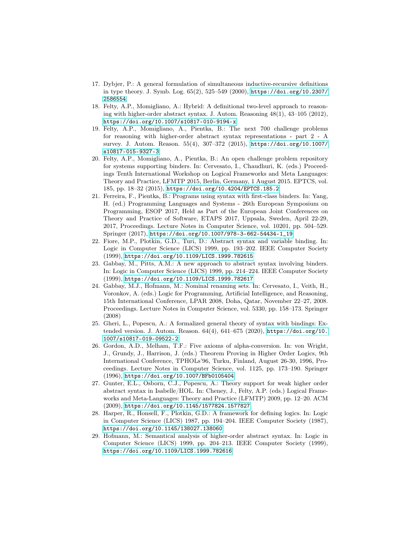- <span id="page-18-7"></span>17. Dybjer, P.: A general formulation of simultaneous inductive-recursive definitions in type theory. J. Symb. Log. 65(2), 525–549 (2000), [https://doi.org/10.2307/](https://doi.org/10.2307/2586554) [2586554](https://doi.org/10.2307/2586554)
- <span id="page-18-5"></span>18. Felty, A.P., Momigliano, A.: Hybrid: A definitional two-level approach to reasoning with higher-order abstract syntax. J. Autom. Reasoning 48(1), 43–105 (2012), <https://doi.org/10.1007/s10817-010-9194-x>
- <span id="page-18-3"></span>19. Felty, A.P., Momigliano, A., Pientka, B.: The next 700 challenge problems for reasoning with higher-order abstract syntax representations - part 2 - A survey. J. Autom. Reason. 55(4), 307–372 (2015), [https://doi.org/10.1007/](https://doi.org/10.1007/s10817-015-9327-3) [s10817-015-9327-3](https://doi.org/10.1007/s10817-015-9327-3)
- <span id="page-18-2"></span>20. Felty, A.P., Momigliano, A., Pientka, B.: An open challenge problem repository for systems supporting binders. In: Cervesato, I., Chaudhuri, K. (eds.) Proceedings Tenth International Workshop on Logical Frameworks and Meta Languages: Theory and Practice, LFMTP 2015, Berlin, Germany, 1 August 2015. EPTCS, vol. 185, pp. 18–32 (2015), <https://doi.org/10.4204/EPTCS.185.2>
- <span id="page-18-10"></span>21. Ferreira, F., Pientka, B.: Programs using syntax with first-class binders. In: Yang, H. (ed.) Programming Languages and Systems - 26th European Symposium on Programming, ESOP 2017, Held as Part of the European Joint Conferences on Theory and Practice of Software, ETAPS 2017, Uppsala, Sweden, April 22-29, 2017, Proceedings. Lecture Notes in Computer Science, vol. 10201, pp. 504–529. Springer (2017), [https://doi.org/10.1007/978-3-662-54434-1\\_19](https://doi.org/10.1007/978-3-662-54434-1_19)
- <span id="page-18-6"></span>22. Fiore, M.P., Plotkin, G.D., Turi, D.: Abstract syntax and variable binding. In: Logic in Computer Science (LICS) 1999, pp. 193–202. IEEE Computer Society (1999), <https://doi.org/10.1109/LICS.1999.782615>
- <span id="page-18-0"></span>23. Gabbay, M., Pitts, A.M.: A new approach to abstract syntax involving binders. In: Logic in Computer Science (LICS) 1999, pp. 214–224. IEEE Computer Society (1999), <https://doi.org/10.1109/LICS.1999.782617>
- <span id="page-18-12"></span>24. Gabbay, M.J., Hofmann, M.: Nominal renaming sets. In: Cervesato, I., Veith, H., Voronkov, A. (eds.) Logic for Programming, Artificial Intelligence, and Reasoning, 15th International Conference, LPAR 2008, Doha, Qatar, November 22–27, 2008. Proceedings. Lecture Notes in Computer Science, vol. 5330, pp. 158–173. Springer (2008)
- <span id="page-18-4"></span>25. Gheri, L., Popescu, A.: A formalized general theory of syntax with bindings: Extended version. J. Autom. Reason. 64(4), 641–675 (2020), [https://doi.org/10.](https://doi.org/10.1007/s10817-019-09522-2) [1007/s10817-019-09522-2](https://doi.org/10.1007/s10817-019-09522-2)
- <span id="page-18-11"></span>26. Gordon, A.D., Melham, T.F.: Five axioms of alpha-conversion. In: von Wright, J., Grundy, J., Harrison, J. (eds.) Theorem Proving in Higher Order Logics, 9th International Conference, TPHOLs'96, Turku, Finland, August 26-30, 1996, Proceedings. Lecture Notes in Computer Science, vol. 1125, pp. 173–190. Springer (1996), <https://doi.org/10.1007/BFb0105404>
- <span id="page-18-8"></span>27. Gunter, E.L., Osborn, C.J., Popescu, A.: Theory support for weak higher order abstract syntax in Isabelle/HOL. In: Cheney, J., Felty, A.P. (eds.) Logical Frameworks and Meta-Languages: Theory and Practice (LFMTP) 2009, pp. 12–20. ACM (2009), <https://doi.org/10.1145/1577824.1577827>
- <span id="page-18-1"></span>28. Harper, R., Honsell, F., Plotkin, G.D.: A framework for defining logics. In: Logic in Computer Science (LICS) 1987, pp. 194–204. IEEE Computer Society (1987), <https://doi.org/10.1145/138027.138060>
- <span id="page-18-9"></span>29. Hofmann, M.: Semantical analysis of higher-order abstract syntax. In: Logic in Computer Science (LICS) 1999, pp. 204–213. IEEE Computer Society (1999), <https://doi.org/10.1109/LICS.1999.782616>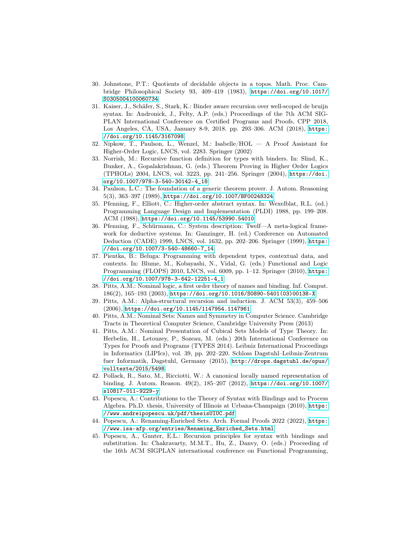- <span id="page-19-14"></span>30. Johnstone, P.T.: Quotients of decidable objects in a topos. Math. Proc. Cambridge Philosophical Society 93, 409–419 (1983), [https://doi.org/10.1017/](https://doi.org/10.1017/S0305004100060734) [S0305004100060734](https://doi.org/10.1017/S0305004100060734)
- <span id="page-19-11"></span>31. Kaiser, J., Schäfer, S., Stark, K.: Binder aware recursion over well-scoped de bruijn syntax. In: Andronick, J., Felty, A.P. (eds.) Proceedings of the 7th ACM SIG-PLAN International Conference on Certified Programs and Proofs, CPP 2018, Los Angeles, CA, USA, January 8-9, 2018. pp. 293–306. ACM (2018), [https:](https://doi.org/10.1145/3167098) [//doi.org/10.1145/3167098](https://doi.org/10.1145/3167098)
- <span id="page-19-6"></span>32. Nipkow, T., Paulson, L., Wenzel, M.: Isabelle/HOL — A Proof Assistant for Higher-Order Logic, LNCS, vol. 2283. Springer (2002)
- <span id="page-19-4"></span>33. Norrish, M.: Recursive function definition for types with binders. In: Slind, K., Bunker, A., Gopalakrishnan, G. (eds.) Theorem Proving in Higher Order Logics (TPHOLs) 2004, LNCS, vol. 3223, pp. 241–256. Springer (2004), [https://doi.](https://doi.org/10.1007/978-3-540-30142-4_18) [org/10.1007/978-3-540-30142-4\\_18](https://doi.org/10.1007/978-3-540-30142-4_18)
- <span id="page-19-2"></span>34. Paulson, L.C.: The foundation of a generic theorem prover. J. Autom. Reasoning 5(3), 363–397 (1989), <https://doi.org/10.1007/BF00248324>
- <span id="page-19-1"></span>35. Pfenning, F., Elliott, C.: Higher-order abstract syntax. In: Wexelblat, R.L. (ed.) Programming Language Design and Implementation (PLDI) 1988, pp. 199–208. ACM (1988), <https://doi.org/10.1145/53990.54010>
- <span id="page-19-13"></span>36. Pfenning, F., Schürmann, C.: System description: Twelf—A meta-logical framework for deductive systems. In: Ganzinger, H. (ed.) Conference on Automated Deduction (CADE) 1999, LNCS, vol. 1632, pp. 202–206. Springer (1999), [https:](https://doi.org/10.1007/3-540-48660-7_14) [//doi.org/10.1007/3-540-48660-7\\_14](https://doi.org/10.1007/3-540-48660-7_14)
- <span id="page-19-12"></span>37. Pientka, B.: Beluga: Programming with dependent types, contextual data, and contexts. In: Blume, M., Kobayashi, N., Vidal, G. (eds.) Functional and Logic Programming (FLOPS) 2010, LNCS, vol. 6009, pp. 1–12. Springer (2010), [https:](https://doi.org/10.1007/978-3-642-12251-4_1) [//doi.org/10.1007/978-3-642-12251-4\\_1](https://doi.org/10.1007/978-3-642-12251-4_1)
- <span id="page-19-8"></span>38. Pitts, A.M.: Nominal logic, a first order theory of names and binding. Inf. Comput. 186(2), 165–193 (2003), [https://doi.org/10.1016/S0890-5401\(03\)00138-X](https://doi.org/10.1016/S0890-5401(03)00138-X)
- <span id="page-19-0"></span>39. Pitts, A.M.: Alpha-structural recursion and induction. J. ACM 53(3), 459–506 (2006), <https://doi.org/10.1145/1147954.1147961>
- <span id="page-19-9"></span>40. Pitts, A.M.: Nominal Sets: Names and Symmetry in Computer Science. Cambridge Tracts in Theoretical Computer Science, Cambridge University Press (2013)
- <span id="page-19-15"></span>41. Pitts, A.M.: Nominal Presentation of Cubical Sets Models of Type Theory. In: Herbelin, H., Letouzey, P., Sozeau, M. (eds.) 20th International Conference on Types for Proofs and Programs (TYPES 2014). Leibniz International Proceedings in Informatics (LIPIcs), vol. 39, pp. 202–220. Schloss Dagstuhl–Leibniz-Zentrum fuer Informatik, Dagstuhl, Germany (2015), [http://drops.dagstuhl.de/opus/](http://drops.dagstuhl.de/opus/volltexte/2015/5498) [volltexte/2015/5498](http://drops.dagstuhl.de/opus/volltexte/2015/5498)
- <span id="page-19-3"></span>42. Pollack, R., Sato, M., Ricciotti, W.: A canonical locally named representation of binding. J. Autom. Reason. 49(2), 185–207 (2012), [https://doi.org/10.1007/](https://doi.org/10.1007/s10817-011-9229-y) [s10817-011-9229-y](https://doi.org/10.1007/s10817-011-9229-y)
- <span id="page-19-5"></span>43. Popescu, A.: Contributions to the Theory of Syntax with Bindings and to Process Algebra. Ph.D. thesis, University of Illinois at Urbana-Champaign (2010), [https:](https://www.andreipopescu.uk/pdf/thesisUIUC.pdf) [//www.andreipopescu.uk/pdf/thesisUIUC.pdf](https://www.andreipopescu.uk/pdf/thesisUIUC.pdf)
- <span id="page-19-7"></span>44. Popescu, A.: Renaming-Enriched Sets. Arch. Formal Proofs 2022 (2022), [https:](https://www.isa-afp.org/entries/Renaming_Enriched_Sets.html) [//www.isa-afp.org/entries/Renaming\\_Enriched\\_Sets.html](https://www.isa-afp.org/entries/Renaming_Enriched_Sets.html)
- <span id="page-19-10"></span>45. Popescu, A., Gunter, E.L.: Recursion principles for syntax with bindings and substitution. In: Chakravarty, M.M.T., Hu, Z., Danvy, O. (eds.) Proceeding of the 16th ACM SIGPLAN international conference on Functional Programming,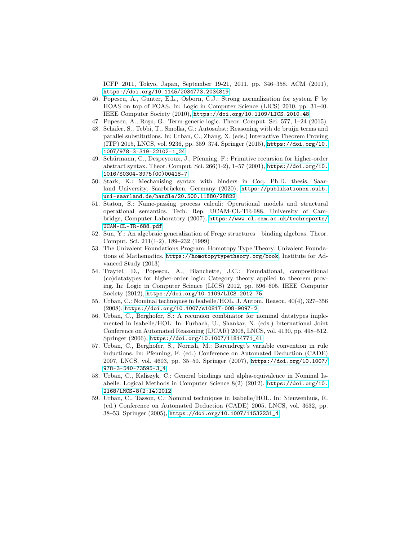ICFP 2011, Tokyo, Japan, September 19-21, 2011. pp. 346–358. ACM (2011), <https://doi.org/10.1145/2034773.2034819>

- <span id="page-20-2"></span>46. Popescu, A., Gunter, E.L., Osborn, C.J.: Strong normalization for system F by HOAS on top of FOAS. In: Logic in Computer Science (LICS) 2010, pp. 31–40. IEEE Computer Society (2010), <https://doi.org/10.1109/LICS.2010.48>
- <span id="page-20-13"></span>47. Popescu, A., Roşu, G.: Term-generic logic. Theor. Comput. Sci. 577, 1–24 (2015)
- <span id="page-20-0"></span>48. Schäfer, S., Tebbi, T., Smolka, G.: Autosubst: Reasoning with de bruijn terms and parallel substitutions. In: Urban, C., Zhang, X. (eds.) Interactive Theorem Proving (ITP) 2015, LNCS, vol. 9236, pp. 359–374. Springer (2015), [https://doi.org/10.](https://doi.org/10.1007/978-3-319-22102-1_24) [1007/978-3-319-22102-1\\_24](https://doi.org/10.1007/978-3-319-22102-1_24)
- <span id="page-20-9"></span>49. Schürmann, C., Despeyroux, J., Pfenning, F.: Primitive recursion for higher-order abstract syntax. Theor. Comput. Sci. 266(1-2), 1–57 (2001), [https://doi.org/10.](https://doi.org/10.1016/S0304-3975(00)00418-7) [1016/S0304-3975\(00\)00418-7](https://doi.org/10.1016/S0304-3975(00)00418-7)
- <span id="page-20-1"></span>50. Stark, K.: Mechanising syntax with binders in Coq. Ph.D. thesis, Saarland University, Saarbrücken, Germany (2020), [https://publikationen.sulb.](https://publikationen.sulb.uni-saarland.de/handle/20.500.11880/28822) [uni-saarland.de/handle/20.500.11880/28822](https://publikationen.sulb.uni-saarland.de/handle/20.500.11880/28822)
- <span id="page-20-10"></span>51. Staton, S.: Name-passing process calculi: Operational models and structural operational semantics. Tech. Rep. UCAM-CL-TR-688, University of Cambridge, Computer Laboratory (2007), [https://www.cl.cam.ac.uk/techreports/](https://www.cl.cam.ac.uk/techreports/UCAM-CL-TR-688.pdf) [UCAM-CL-TR-688.pdf](https://www.cl.cam.ac.uk/techreports/UCAM-CL-TR-688.pdf)
- <span id="page-20-12"></span>52. Sun, Y.: An algebraic generalization of Frege structures—binding algebras. Theor. Comput. Sci. 211(1-2), 189–232 (1999)
- <span id="page-20-11"></span>53. The Univalent Foundations Program: Homotopy Type Theory. Univalent Foundations of Mathematics. <https://homotopytypetheory.org/book>, Institute for Advanced Study (2013)
- <span id="page-20-8"></span>54. Traytel, D., Popescu, A., Blanchette, J.C.: Foundational, compositional (co)datatypes for higher-order logic: Category theory applied to theorem proving. In: Logic in Computer Science (LICS) 2012, pp. 596–605. IEEE Computer Society (2012), <https://doi.org/10.1109/LICS.2012.75>
- <span id="page-20-4"></span>55. Urban, C.: Nominal techniques in Isabelle/HOL. J. Autom. Reason. 40(4), 327–356 (2008), <https://doi.org/10.1007/s10817-008-9097-2>
- <span id="page-20-3"></span>56. Urban, C., Berghofer, S.: A recursion combinator for nominal datatypes implemented in Isabelle/HOL. In: Furbach, U., Shankar, N. (eds.) International Joint Conference on Automated Reasoning (IJCAR) 2006, LNCS, vol. 4130, pp. 498–512. Springer (2006), [https://doi.org/10.1007/11814771\\_41](https://doi.org/10.1007/11814771_41)
- <span id="page-20-7"></span>57. Urban, C., Berghofer, S., Norrish, M.: Barendregt's variable convention in rule inductions. In: Pfenning, F. (ed.) Conference on Automated Deduction (CADE) 2007, LNCS, vol. 4603, pp. 35–50. Springer (2007), [https://doi.org/10.1007/](https://doi.org/10.1007/978-3-540-73595-3_4) [978-3-540-73595-3\\_4](https://doi.org/10.1007/978-3-540-73595-3_4)
- <span id="page-20-5"></span>58. Urban, C., Kaliszyk, C.: General bindings and alpha-equivalence in Nominal Isabelle. Logical Methods in Computer Science 8(2) (2012), [https://doi.org/10.](https://doi.org/10.2168/LMCS-8(2:14)2012) [2168/LMCS-8\(2:14\)2012](https://doi.org/10.2168/LMCS-8(2:14)2012)
- <span id="page-20-6"></span>59. Urban, C., Tasson, C.: Nominal techniques in Isabelle/HOL. In: Nieuwenhuis, R. (ed.) Conference on Automated Deduction (CADE) 2005, LNCS, vol. 3632, pp. 38–53. Springer (2005), [https://doi.org/10.1007/11532231\\_4](https://doi.org/10.1007/11532231_4)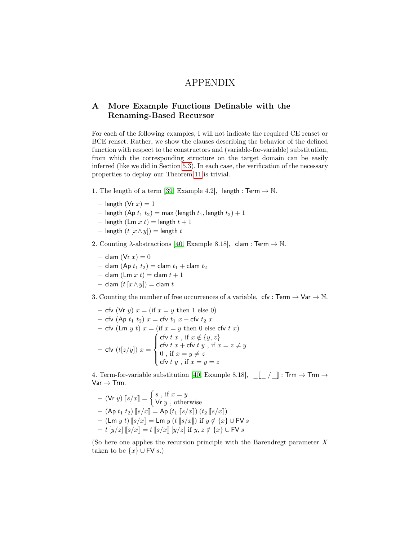## APPENDIX

## <span id="page-21-0"></span>A More Example Functions Definable with the Renaming-Based Recursor

For each of the following examples, I will not indicate the required CE renset or BCE renset. Rather, we show the clauses describing the behavior of the defined function with respect to the constructors and (variable-for-variable) substitution, from which the corresponding structure on the target domain can be easily inferred (like we did in Section [5.3\)](#page-10-1). In each case, the verification of the necessary properties to deploy our Theorem [11](#page-10-2) is trivial.

- 1. The length of a term [\[39,](#page-19-0) Example 4.2], length : Term  $\rightarrow \mathbb{N}$ .
	- length  $(\forall r x) = 1$
	- $-$  length  $(\text{Ap } t_1 t_2) = \text{max } (\text{length } t_1, \text{length } t_2) + 1$
	- length  $(\text{Lm } x t) = \text{length } t + 1$
	- length  $(t [x \wedge y]) =$  length t

2. Counting  $\lambda$ -abstractions [\[40,](#page-19-9) Example 8.18], clam : Term  $\rightarrow \mathbb{N}$ .

- clam  $(\forall r x) = 0$
- $-$  clam  $(Ap t_1 t_2) =$  clam  $t_1 +$  clam  $t_2$
- clam  $(\text{Lm } x t) = \text{clam } t + 1$
- clam  $(t [x \wedge y]) =$ clam  $t$

3. Counting the number of free occurrences of a variable,  $\mathsf{cfv} : \mathsf{Term} \to \mathsf{Var} \to \mathbb{N}$ .

- cfv (Vr y) 
$$
x =
$$
 (if  $x = y$  then 1 else 0)  
\n- cfv (Ap  $t_1$   $t_2$ )  $x =$  cfv  $t_1$   $x +$  cfv  $t_2$   $x$   
\n- cfv (Lm y t)  $x =$  (if  $x = y$  then 0 else cfv t x)  
\n- cfv  $(t[z/y])$   $x =$ \n
$$
\begin{cases}\n\text{cfv } t \ x, \text{ if } x \notin \{y, z\} \\
\text{cfv } t \ x + \text{cfv } t \ y, \text{ if } x = z \neq y \\
0, \text{ if } x = y \neq z\n\end{cases}
$$

4. Term-for-variable substitution [\[40,](#page-19-9) Example 8.18],  $\boxed{\begin{bmatrix} \begin{bmatrix} \begin{bmatrix} \begin{bmatrix} \end{bmatrix} & \end{bmatrix} & \begin{bmatrix} \end{bmatrix} & \begin{bmatrix} \end{bmatrix} \\ \end{bmatrix} & \begin{bmatrix} \end{bmatrix} \\ \end{bmatrix} & \begin{bmatrix} \end{bmatrix} \\ \end{bmatrix} \end{bmatrix}}$  $Var \rightarrow Trm$ .

$$
-(\mathsf{Vr}\,y)\,\llbracket s/x \rrbracket = \begin{cases} s \text{ , if } x = y \\ \mathsf{Vr}\,y \text{ , otherwise} \end{cases}
$$

$$
-(\mathsf{Ap}\,t_1\,t_2)\,\llbracket s/x \rrbracket = \mathsf{Ap}\,(t_1\,\llbracket s/x \rrbracket)\,(t_2\,\llbracket s/x \rrbracket)
$$

$$
-(\mathsf{Lm}\,y\,t)\,\llbracket s/x \rrbracket = \mathsf{Lm}\,y\,(t\,\llbracket s/x \rrbracket)\text{ if } y \notin \{x\} \cup \mathsf{FV}\,s
$$

$$
-t\,\llbracket y/z \rrbracket\,\llbracket s/x \rrbracket\,\llbracket y/z \rrbracket\text{ if } y, z \notin \{x\} \cup \mathsf{FV}\,s
$$

(So here one applies the recursion principle with the Barendregt parameter X taken to be  $\{x\} \cup FV s.$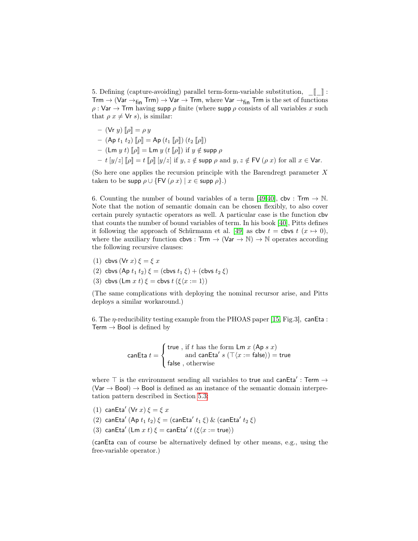5. Defining (capture-avoiding) parallel term-form-variable substitution,  $[\ ]$  : Trm  $\rightarrow$  (Var  $\rightarrow$ <sub>fin</sub> Trm)  $\rightarrow$  Var  $\rightarrow$  Trm, where Var  $\rightarrow$ <sub>fin</sub> Trm is the set of functions  $\rho: \mathsf{Var} \to \mathsf{Trm}$  having supp  $\rho$  finite (where supp  $\rho$  consists of all variables x such that  $\rho x \neq Vr s$ , is similar:

- $(\forall r \ y)$   $\llbracket \rho \rrbracket = \rho \ y$
- $(Ap t_1 t_2)$   $\llbracket \rho \rrbracket = Ap (t_1 \llbracket \rho \rrbracket) (t_2 \llbracket \rho \rrbracket)$
- (Lm y t)  $\llbracket \rho \rrbracket = \text{Lm } y$  (t  $\llbracket \rho \rrbracket$ ) if  $y \notin \text{supp } \rho$
- $t [y/z] [\![ \rho ]\!] = t [\![ \rho ]\!] [y/z]$  if  $y, z \notin \text{supp } \rho$  and  $y, z \notin \text{FV}(\rho x)$  for all  $x \in \text{Var}$ .

(So here one applies the recursion principle with the Barendregt parameter X taken to be supp  $\rho \cup \{FV(\rho x) \mid x \in \text{supp }\rho\}$ .)

6. Counting the number of bound variables of a term [\[49,](#page-20-9)[40\]](#page-19-9), cbv :  $\text{Trm} \rightarrow \mathbb{N}$ . Note that the notion of semantic domain can be chosen flexibly, to also cover certain purely syntactic operators as well. A particular case is the function cbv that counts the number of bound variables of term. In his book [\[40\]](#page-19-9), Pitts defines it following the approach of Schürmann et al. [\[49\]](#page-20-9) as cbv  $t =$  cbvs  $t (x \mapsto 0)$ , where the auxiliary function cbvs : Trm  $\rightarrow$  (Var  $\rightarrow$  N)  $\rightarrow$  N operates according the following recursive clauses:

- (1) cbvs (Vr  $x$ )  $\xi = \xi x$
- (2) cbvs  $(\text{Ap } t_1 t_2) \xi = (\text{cbus } t_1 \xi) + (\text{cbus } t_2 \xi)$
- (3) cbvs (Lm  $x t$ )  $\xi$  = cbvs  $t$  ( $\xi$ ( $x := 1$ ))

(The same complications with deploying the nominal recursor arise, and Pitts deploys a similar workaround.)

6. The  $\eta$ -reducibility testing example from the PHOAS paper [\[15,](#page-17-11) Fig.3], canEta : Term  $\rightarrow$  Bool is defined by

canEta 
$$
t = \begin{cases} \text{true}, & \text{if } t \text{ has the form } \text{Lm } x \text{ (Ap } s x) \\ \text{and } \text{canEt} \text{a'} s \text{ (T(x := false))} = \text{true} \\ \text{false}, & \text{otherwise} \end{cases}
$$

where  $\top$  is the environment sending all variables to true and canEta': Term  $\rightarrow$  $(Var \rightarrow Bool) \rightarrow Bool$  is defined as an instance of the semantic domain interpretation pattern described in Section [5.3:](#page-10-1)

- (1) canEta' (Vr  $x$ )  $\xi = \xi x$
- (2) canEta'  $(\text{Ap } t_1 t_2) \xi = (\text{canEt} a' t_1 \xi) \& (\text{canEt} a' t_2 \xi)$
- (3) canEta' (Lm  $x t$ )  $\xi$  = canEta'  $t$  ( $\xi$  $\langle x :=$  true $\rangle$ )

(canEta can of course be alternatively defined by other means, e.g., using the free-variable operator.)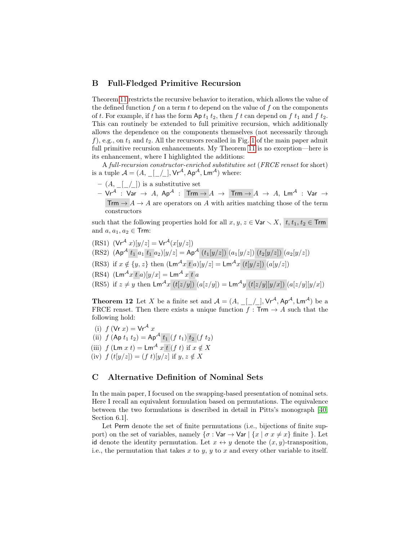## B Full-Fledged Primitive Recursion

Theorem [11](#page-10-2) restricts the recursive behavior to iteration, which allows the value of the defined function f on a term t to depend on the value of f on the components of t. For example, if t has the form  $Ap t_1 t_2$ , then f t can depend on f  $t_1$  and f  $t_2$ . This can routinely be extended to full primitive recursion, which additionally allows the dependence on the components themselves (not necessarily through f), e.g., on  $t_1$  and  $t_2$ . All the recursors recalled in Fig. [1](#page-13-0) of the main paper admit full primitive recursion enhancements. My Theorem [11](#page-10-2) is no exception—here is its enhancement, where I highlighted the additions:

A full-recursion constructor-enriched substitutive set (FRCE renset for short) is a tuple  $A = (A, \quad | \quad |, \text{Vr}^{\mathcal{A}}, \text{Ap}^{\mathcal{A}}, \text{Lm}^{\mathcal{A}})$  where:

- $(A, \mid / \mid)$  is a substitutive set
- $-Vr^A$  : Var  $\rightarrow$  A, Ap<sup>A</sup> : Trm  $\rightarrow$  A  $\rightarrow$  Trm  $\rightarrow$  A  $\rightarrow$  A, Lm<sup>A</sup> : Var  $\rightarrow$  $\mathsf{Trm} \to A \to A$  are operators on A with arities matching those of the term constructors

such that the following properties hold for all  $x, y, z \in \mathsf{Var} \setminus X$ ,  $t, t_1, t_2 \in \mathsf{Trm}$ and  $a, a_1, a_2 \in \mathsf{Trm}$ :

 $(RS1)$   $(Vr^{\mathcal{A}} x)[y/z] = Vr^{\mathcal{A}}(x[y/z])$ (RS2)  $(Ap^{A} t_1 a_1 t_1 a_2 |y/z] = Ap^{A} (t_1[y/z]) (a_1[y/z]) (t_2[y/z]) (a_2[y/z])$ (RS3) if  $x \notin \{y, z\}$  then  $(\text{Lm}^{\mathcal{A}} x \cdot t \cdot a)[y/z] = \text{Lm}^{\mathcal{A}} x \cdot (t[y/z]) \cdot (a[y/z])$ (RS4)  $(\text{Lm}^{\mathcal{A}} x t a)[y/x] = \text{Lm}^{\mathcal{A}} x t a$ (RS5) if  $z \neq y$  then  $\text{Lm}^{\mathcal{A}}x$   $(t[z/y])$   $(a[z/y]) = \text{Lm}^{\mathcal{A}}y$   $(t[z/y][y/x])$   $(a[z/y][y/x])$ 

**Theorem 12** Let X be a finite set and  $A = (A, \underline{\underline{[-]}}]$ ,  $\forall r^A$ ,  $Ap^A$ ,  $Lm^A$ ) be a FRCE renset. Then there exists a unique function  $f : Trm \rightarrow A$  such that the following hold:

- (i)  $f$  (Vr  $x$ ) = Vr<sup>A</sup>  $x$ (ii)  $f$  (Ap  $t_1$   $t_2$ ) = Ap<sup>A</sup>  $t_1$  (f  $t_1$ )  $t_2$  (f  $t_2$ ) (iii) f (Lm x t) = Lm<sup>A</sup> x t (f t) if  $x \notin X$
- (iv)  $f(t[y/z]) = (f t)[y/z]$  if  $y, z \notin X$

## <span id="page-23-0"></span>C Alternative Definition of Nominal Sets

In the main paper, I focused on the swapping-based presentation of nominal sets. Here I recall an equivalent formulation based on permutations. The equivalence between the two formulations is described in detail in Pitts's monograph [\[40,](#page-19-9) Section 6.1].

Let Perm denote the set of finite permutations (i.e., bijections of finite support) on the set of variables, namely  $\{\sigma : \text{Var} \to \text{Var} \mid \{x \mid \sigma x \neq x\} \text{ finite } \}$ . Let id denote the identity permutation. Let  $x \leftrightarrow y$  denote the  $(x, y)$ -transposition, i.e., the permutation that takes  $x$  to  $y$ ,  $y$  to  $x$  and every other variable to itself.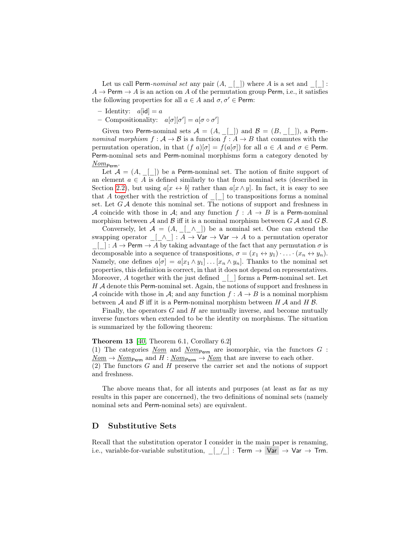Let us call Perm-nominal set any pair  $(A, \lceil \rceil)$  where A is a set and  $\lceil \rceil$  :  $A \to \text{Perm} \to A$  is an action on A of the permutation group Perm, i.e., it satisfies the following properties for all  $a \in A$  and  $\sigma, \sigma' \in$  Perm:

- Identity:  $a[id] = a$
- Compositionality:  $a[\sigma][\sigma'] = a[\sigma \circ \sigma']$

Given two Perm-nominal sets  $\mathcal{A} = (A, \underline{\hspace{1cm}} \underline{\hspace{1cm}}])$  and  $\mathcal{B} = (B, \underline{\hspace{1cm}} \underline{\hspace{1cm}}])$ , a Permnominal morphism  $f : \mathcal{A} \to \mathcal{B}$  is a function  $f : \mathcal{A} \to \mathcal{B}$  that commutes with the permutation operation, in that  $(f \ a)[\sigma] = f(a[\sigma])$  for all  $a \in A$  and  $\sigma \in$  Perm. Perm-nominal sets and Perm-nominal morphisms form a category denoted by  $\underline{Nom}_{\text{Perm}}$ .

Let  $\mathcal{A} = (A, \quad | \quad |)$  be a Perm-nominal set. The notion of finite support of an element  $a \in A$  is defined similarly to that from nominal sets (described in Section [2.2\)](#page-3-0), but using  $a[x \leftrightarrow b]$  rather than  $a[x \land y]$ . In fact, it is easy to see that A together with the restriction of  $\left[\phantom{a}\right]$  to transpositions forms a nominal set. Let  $G \mathcal{A}$  denote this nominal set. The notions of support and freshness in A coincide with those in A; and any function  $f : A \rightarrow B$  is a Perm-nominal morphism between  $A$  and  $B$  iff it is a nominal morphism between  $G \mathcal{A}$  and  $G \mathcal{B}$ .

Conversely, let  $\mathcal{A} = (A, [- \wedge ])$  be a nominal set. One can extend the swapping operator  $\begin{bmatrix} \wedge \end{bmatrix}$  :  $\overline{A} \to \overline{V}$ ar  $\to \overline{V}$  ar  $\to A$  to a permutation operator  $\lceil$  :  $A \rightarrow$  Perm  $\rightarrow$  A by taking advantage of the fact that any permutation  $\sigma$  is decomposable into a sequence of transpositions,  $\sigma = (x_1 \leftrightarrow y_1) \cdot \ldots \cdot (x_n \leftrightarrow y_n)$ . Namely, one defines  $a[\sigma] = a[x_1 \wedge y_1] \dots [x_n \wedge y_n]$ . Thanks to the nominal set properties, this definition is correct, in that it does not depend on representatives. Moreover,  $A$  together with the just defined  $\lfloor \lfloor \rfloor \rfloor$  forms a Perm-nominal set. Let H A denote this Perm-nominal set. Again, the notions of support and freshness in A coincide with those in A; and any function  $f : A \to B$  is a nominal morphism between A and B iff it is a Perm-nominal morphism between  $H \mathcal{A}$  and  $H \mathcal{B}$ .

Finally, the operators  $G$  and  $H$  are mutually inverse, and become mutually inverse functors when extended to be the identity on morphisms. The situation is summarized by the following theorem:

#### Theorem 13 [\[40,](#page-19-9) Theorem 6.1, Corollary 6.2]

(1) The categories  $\underline{Nom}$  and  $\underline{Nom}_{\texttt{Perm}}$  are isomorphic, via the functors  $G$ :  $\underline{Nom} \rightarrow \underline{Nom}_{\text{Perm}}$  and  $H: \underline{Nom}_{\text{Perm}} \rightarrow \underline{Nom}$  that are inverse to each other. (2) The functors G and H preserve the carrier set and the notions of support and freshness.

The above means that, for all intents and purposes (at least as far as my results in this paper are concerned), the two definitions of nominal sets (namely nominal sets and Perm-nominal sets) are equivalent.

## <span id="page-24-0"></span>D Substitutive Sets

Recall that the substitution operator I consider in the main paper is renaming, i.e., variable-for-variable substitution,  $\lfloor \_ \rfloor \rfloor$  : Term  $\rightarrow$  Var  $\rightarrow$  Var  $\rightarrow$  Trm.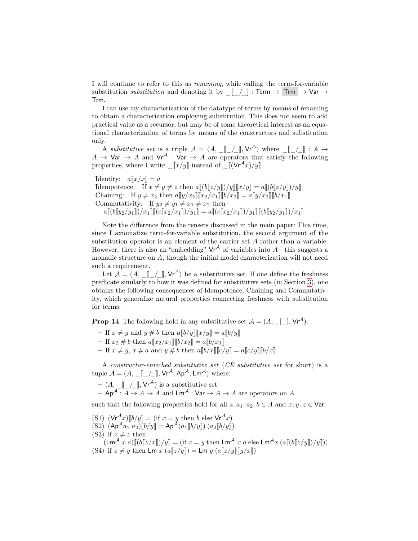I will continue to refer to this as renaming, while calling the term-for-variable substitution *substitution* and denoting it by  $\llbracket \underline{\hspace{0.2cm}} \underline{\hspace{0.2cm}} \underline{\hspace{0.2cm}} \underline{\hspace{0.2cm}} \underline{\hspace{0.2cm}} \underline{\hspace{0.2cm}} \underline{\hspace{0.2cm}} \underline{\hspace{0.2cm}} \underline{\hspace{0.2cm}} \underline{\hspace{0.2cm}} \underline{\hspace{0.2cm}} \underline{\hspace{0.2cm}} \underline{\hspace{0.2cm}} \underline{\hspace{0.2cm}} \underline{\hspace{0.2cm}} \underline{\hs$ Trm.

I can use my characterization of the datatype of terms by means of renaming to obtain a characterization employing substitution. This does not seem to add practical value as a recursor, but may be of some theoretical interest as an equational characterization of terms by means of the constructors and substitution only.

A substitutive set is a triple  $\mathcal{A} = (A, \parallel / \parallel, \text{Vr}^{\mathcal{A}})$  where  $\parallel / \parallel : A \rightarrow$  $A \rightarrow \text{Var} \rightarrow A$  and  $\text{Vr}^A : \text{Var} \rightarrow A$  are operators that satisfy the following properties, where I write  $[[x/y]]$  instead of  $[[(\text{Vr}^{\mathcal{A}}x)/y]]$ 

Identity:  $a[[x/x]] = a$ Idempotence: If  $x \neq y \neq z$  then  $a \llbracket (b \llbracket z/y \rrbracket) / y \llbracket \llbracket x/y \rrbracket = a \llbracket (b \llbracket z/y \rrbracket) / y \rrbracket$ Chaining: If  $y \neq x_2$  then  $a[[y/x_2][[x_2/x_1]][b/x_2] = a[[y/x_2]][b/x_1]$ Commutativity: If  $y_2 \neq y_1 \neq x_1 \neq x_2$  then  $a[\![ (b[\![y_2/y_1]\!])/x_1]\!] [\![ (c[\![x_2/x_1]\!])/y_1]\!] = a[\![ (c[\![x_2/x_1]\!])/y_1]\!] [\![ (b[\![y_2/y_1]\!])/x_1]\!]$ 

Note the difference from the rensets discussed in the main paper: This time, since I axiomatize term-for-variable substitution, the second argument of the substitution operator is an element of the carrier set A rather than a variable. However, there is also an "embedding"  $Vr^A$  of variables into A—this suggests a monadic structure on A, though the initial model characterization will not need such a requirement.

Let  $\mathcal{A} = (A, \parallel / \parallel, Vr^{\mathcal{A}})$  be a substitutive set. If one define the freshness predicate similarly to how it was defined for substitutive sets (in Section [3\)](#page-4-0), one obtains the following consequences of Idempotence, Chaining and Commutativity, which generalize natural properties connecting freshness with substitution for terms:

**Prop 14** The following hold in any substitutive set  $\mathcal{A} = (A, \_ [ \ ], \mathsf{Vr}^{\mathcal{A}})$ :

- If  $x \neq y$  and  $y \neq b$  then  $a \llbracket b/y \rrbracket [x/y \rrbracket = a \llbracket b/y \rrbracket$
- If  $x_2 \# b$  then  $a[[x_2/x_1]] [b/x_2] = a[[b/x_1]]$
- If  $x \neq y$ ,  $x \neq a$  and  $y \neq b$  then  $a \llbracket b/x \rrbracket \llbracket c/y \rrbracket = a \llbracket c/y \rrbracket \llbracket b/x \rrbracket$

A constructor-enriched substitutive set (CE substitutive set for short) is a tuple  $\mathcal{A} = (A, \parallel / \parallel, \text{Vr}^{\mathcal{A}}, \text{Ap}^{\mathcal{A}}, \text{Lm}^{\mathcal{A}})$  where:

 $(A, \mathbb{T}/\mathbb{I}, \mathsf{Vr}^{\mathcal{A}})$  is a substitutive set

–  $\mathsf{Ap}^\mathcal{A}:A\to A\to A$  and  $\mathsf{Lm}^\mathcal{A}:\mathsf{Var}\to A\to A$  are operators on  $A$ 

such that the following properties hold for all  $a, a_1, a_2, b \in A$  and  $x, y, z \in \mathsf{Var}$ :

- (S1)  $(\text{Vr}^{\mathcal{A}}x)[b/y] = (\text{if } x = y \text{ then } b \text{ else } \text{Vr}^{\mathcal{A}}x)$
- (S2)  $(Ap^{\tilde{A}}a_1 a_2)\llbracket b/y \rrbracket = Ap^{\tilde{A}}(a_1 \llbracket b/y \rrbracket) (a_2 \llbracket b/y \rrbracket)$
- (S3) if  $x \neq z$  then

 $(\textsf{Lm}^{\mathcal{A}} x a) [ (b[[z/x]])/y] = (\text{if } x = y \text{ then } \textsf{Lm}^{\mathcal{A}} x a \text{ else } \textsf{Lm}^{\mathcal{A}} x (a[[(b[[z/y]])/y]])$ (S4) if  $z \neq y$  then Lm  $x$   $(a \llbracket z/y \rrbracket) = \text{Lm } y$   $(a \llbracket z/y \rrbracket \llbracket y/x \rrbracket)$